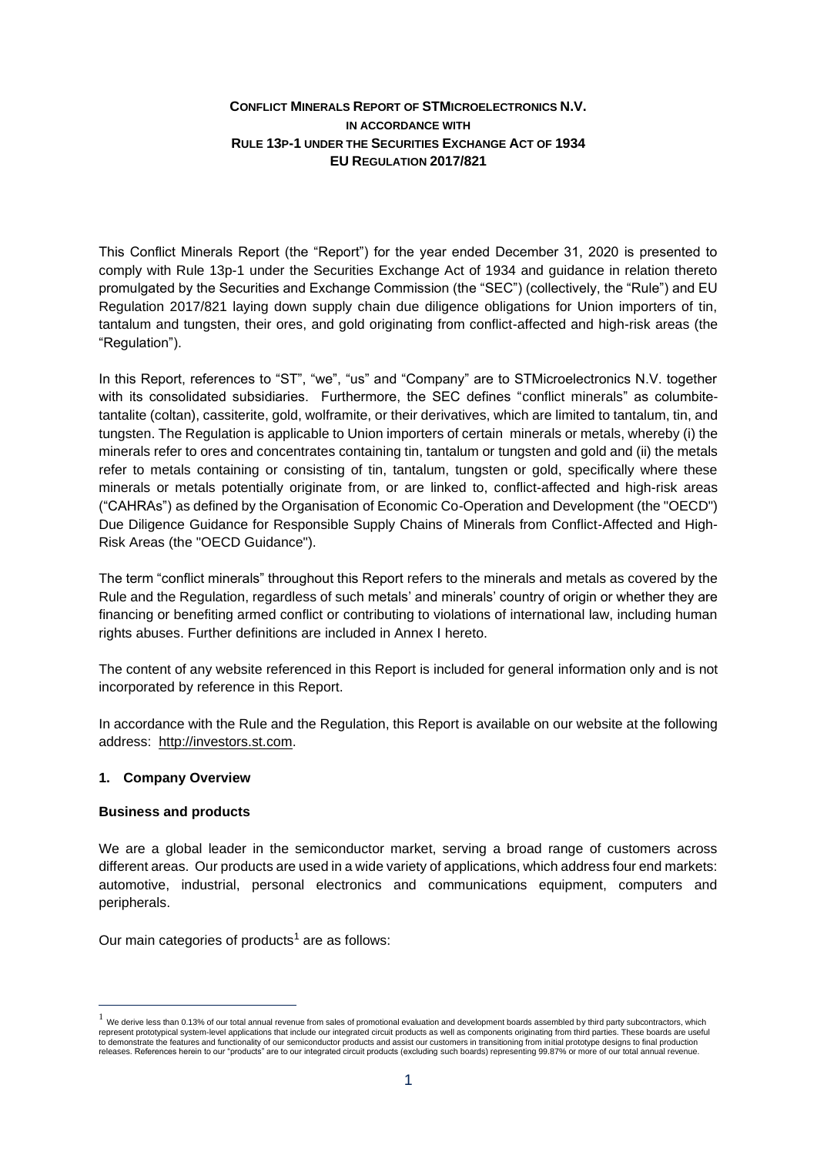# **CONFLICT MINERALS REPORT OF STMICROELECTRONICS N.V. IN ACCORDANCE WITH RULE 13P-1 UNDER THE SECURITIES EXCHANGE ACT OF 1934 EU REGULATION 2017/821**

This Conflict Minerals Report (the "Report") for the year ended December 31, 2020 is presented to comply with Rule 13p-1 under the Securities Exchange Act of 1934 and guidance in relation thereto promulgated by the Securities and Exchange Commission (the "SEC") (collectively, the "Rule") and EU Regulation 2017/821 laying down supply chain due diligence obligations for Union importers of tin, tantalum and tungsten, their ores, and gold originating from conflict-affected and high-risk areas (the "Regulation").

In this Report, references to "ST", "we", "us" and "Company" are to STMicroelectronics N.V. together with its consolidated subsidiaries. Furthermore, the SEC defines "conflict minerals" as columbitetantalite (coltan), cassiterite, gold, wolframite, or their derivatives, which are limited to tantalum, tin, and tungsten. The Regulation is applicable to Union importers of certain minerals or metals, whereby (i) the minerals refer to ores and concentrates containing tin, tantalum or tungsten and gold and (ii) the metals refer to metals containing or consisting of tin, tantalum, tungsten or gold, specifically where these minerals or metals potentially originate from, or are linked to, conflict-affected and high-risk areas ("CAHRAs") as defined by the Organisation of Economic Co-Operation and Development (the "OECD") Due Diligence Guidance for Responsible Supply Chains of Minerals from Conflict-Affected and High-Risk Areas (the "OECD Guidance").

The term "conflict minerals" throughout this Report refers to the minerals and metals as covered by the Rule and the Regulation, regardless of such metals' and minerals' country of origin or whether they are financing or benefiting armed conflict or contributing to violations of international law, including human rights abuses. Further definitions are included in Annex I hereto.

The content of any website referenced in this Report is included for general information only and is not incorporated by reference in this Report.

In accordance with the Rule and the Regulation, this Report is available on our website at the following address: [http://investors.st.com.](http://investors.st.com/)

### **1. Company Overview**

### **Business and products**

We are a global leader in the semiconductor market, serving a broad range of customers across different areas. Our products are used in a wide variety of applications, which address four end markets: automotive, industrial, personal electronics and communications equipment, computers and peripherals.

Our main categories of products<sup>1</sup> are as follows:

 $<sup>1</sup>$  We derive less than 0.13% of our total annual revenue from sales of promotional evaluation and development boards assembled by third party subcontractors, which</sup> represent prototypical system-level applications that include our integrated circuit products as well as components originating from third parties. These boards are useful to demonstrate the features and functionality of our semiconductor products and assist our customers in transitioning from initial prototype designs to final production<br>releases. References herein to our "products" are to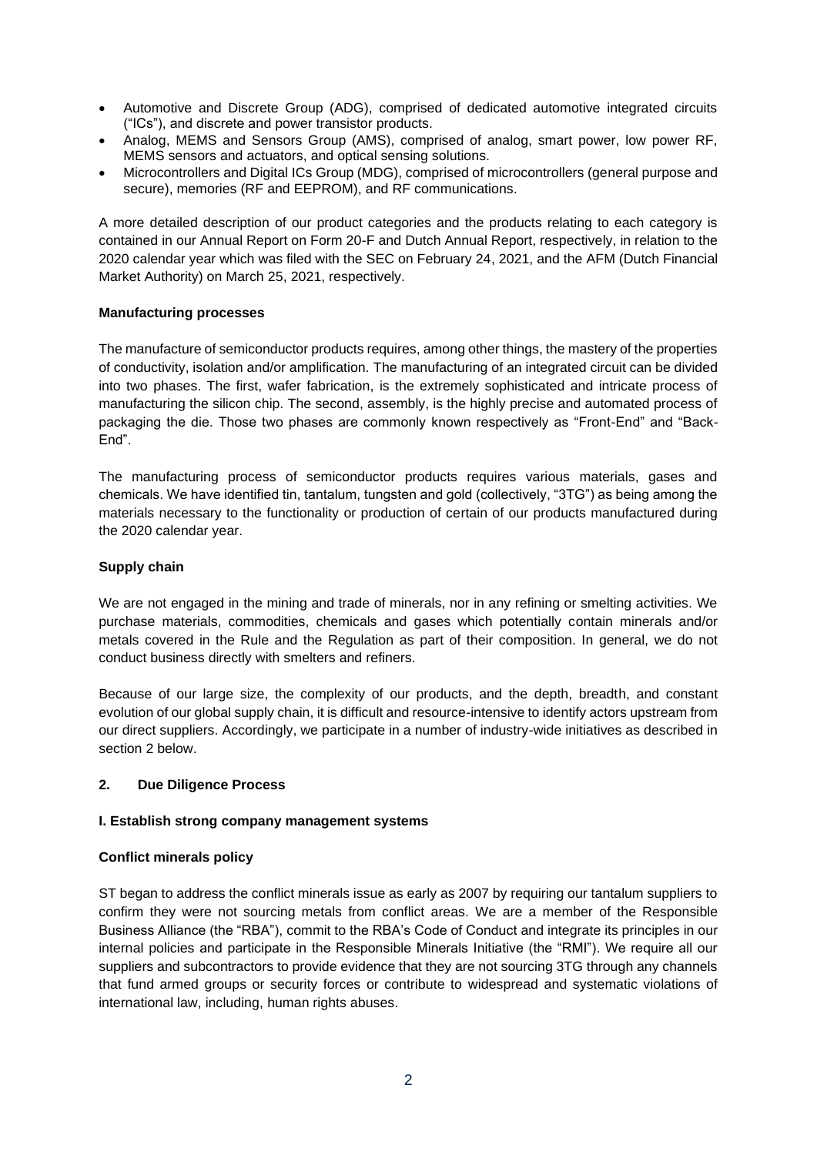- Automotive and Discrete Group (ADG), comprised of dedicated automotive integrated circuits ("ICs"), and discrete and power transistor products.
- Analog, MEMS and Sensors Group (AMS), comprised of analog, smart power, low power RF, MEMS sensors and actuators, and optical sensing solutions.
- Microcontrollers and Digital ICs Group (MDG), comprised of microcontrollers (general purpose and secure), memories (RF and EEPROM), and RF communications.

A more detailed description of our product categories and the products relating to each category is contained in our Annual Report on Form 20-F and Dutch Annual Report, respectively, in relation to the 2020 calendar year which was filed with the SEC on February 24, 2021, and the AFM (Dutch Financial Market Authority) on March 25, 2021, respectively.

### **Manufacturing processes**

The manufacture of semiconductor products requires, among other things, the mastery of the properties of conductivity, isolation and/or amplification. The manufacturing of an integrated circuit can be divided into two phases. The first, wafer fabrication, is the extremely sophisticated and intricate process of manufacturing the silicon chip. The second, assembly, is the highly precise and automated process of packaging the die. Those two phases are commonly known respectively as "Front-End" and "Back-End".

The manufacturing process of semiconductor products requires various materials, gases and chemicals. We have identified tin, tantalum, tungsten and gold (collectively, "3TG") as being among the materials necessary to the functionality or production of certain of our products manufactured during the 2020 calendar year.

### **Supply chain**

We are not engaged in the mining and trade of minerals, nor in any refining or smelting activities. We purchase materials, commodities, chemicals and gases which potentially contain minerals and/or metals covered in the Rule and the Regulation as part of their composition. In general, we do not conduct business directly with smelters and refiners.

Because of our large size, the complexity of our products, and the depth, breadth, and constant evolution of our global supply chain, it is difficult and resource-intensive to identify actors upstream from our direct suppliers. Accordingly, we participate in a number of industry-wide initiatives as described in section 2 below.

#### **2. Due Diligence Process**

#### **I. Establish strong company management systems**

#### **Conflict minerals policy**

ST began to address the conflict minerals issue as early as 2007 by requiring our tantalum suppliers to confirm they were not sourcing metals from conflict areas. We are a member of the Responsible Business Alliance (the "RBA"), commit to the RBA's Code of Conduct and integrate its principles in our internal policies and participate in the Responsible Minerals Initiative (the "RMI"). We require all our suppliers and subcontractors to provide evidence that they are not sourcing 3TG through any channels that fund armed groups or security forces or contribute to widespread and systematic violations of international law, including, human rights abuses.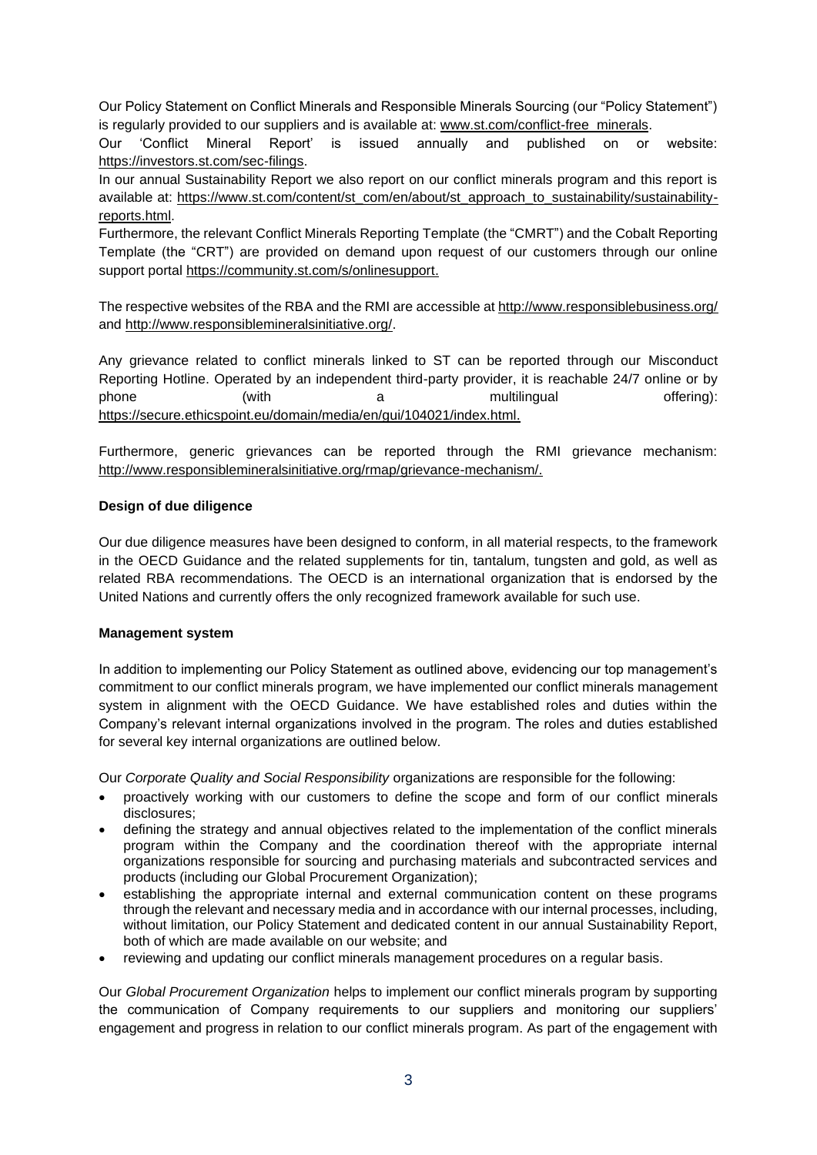Our Policy Statement on Conflict Minerals and Responsible Minerals Sourcing (our "Policy Statement") is regularly provided to our suppliers and is available at: [www.st.com/conflict-free\\_minerals.](http://www.st.com/conflict-free_minerals)

Our 'Conflict Mineral Report' is issued annually and published on or website: [https://investors.st.com/sec-filings.](https://investors.st.com/sec-filings)

In our annual Sustainability Report we also report on our conflict minerals program and this report is available at: [https://www.st.com/content/st\\_com/en/about/st\\_approach\\_to\\_sustainability/sustainability](https://www.st.com/content/st_com/en/about/st_approach_to_sustainability/sustainability-reports.html)[reports.html.](https://www.st.com/content/st_com/en/about/st_approach_to_sustainability/sustainability-reports.html)

Furthermore, the relevant Conflict Minerals Reporting Template (the "CMRT") and the Cobalt Reporting Template (the "CRT") are provided on demand upon request of our customers through our online support portal [https://community.st.com/s/onlinesupport.](https://community.st.com/s/onlinesupport)

The respective websites of the RBA and the RMI are accessible at<http://www.responsiblebusiness.org/> and [http://www.responsiblemineralsinitiative.org/.](http://www.responsiblemineralsinitiative.org/)

Any grievance related to conflict minerals linked to ST can be reported through our Misconduct Reporting Hotline. Operated by an independent third-party provider, it is reachable 24/7 online or by phone (with a multilingual offering): [https://secure.ethicspoint.eu/domain/media/en/gui/104021/index.html.](https://secure.ethicspoint.eu/domain/media/en/gui/104021/index.html)

Furthermore, generic grievances can be reported through the RMI grievance mechanism: http://www.responsiblemineralsinitiative.org/rmap/grievance-mechanism/.

# **Design of due diligence**

Our due diligence measures have been designed to conform, in all material respects, to the framework in the OECD Guidance and the related supplements for tin, tantalum, tungsten and gold, as well as related RBA recommendations. The OECD is an international organization that is endorsed by the United Nations and currently offers the only recognized framework available for such use.

#### **Management system**

In addition to implementing our Policy Statement as outlined above, evidencing our top management's commitment to our conflict minerals program, we have implemented our conflict minerals management system in alignment with the OECD Guidance. We have established roles and duties within the Company's relevant internal organizations involved in the program. The roles and duties established for several key internal organizations are outlined below.

Our *Corporate Quality and Social Responsibility* organizations are responsible for the following:

- proactively working with our customers to define the scope and form of our conflict minerals disclosures;
- defining the strategy and annual objectives related to the implementation of the conflict minerals program within the Company and the coordination thereof with the appropriate internal organizations responsible for sourcing and purchasing materials and subcontracted services and products (including our Global Procurement Organization);
- establishing the appropriate internal and external communication content on these programs through the relevant and necessary media and in accordance with our internal processes, including, without limitation, our Policy Statement and dedicated content in our annual Sustainability Report, both of which are made available on our website; and
- reviewing and updating our conflict minerals management procedures on a regular basis.

Our *Global Procurement Organization* helps to implement our conflict minerals program by supporting the communication of Company requirements to our suppliers and monitoring our suppliers' engagement and progress in relation to our conflict minerals program. As part of the engagement with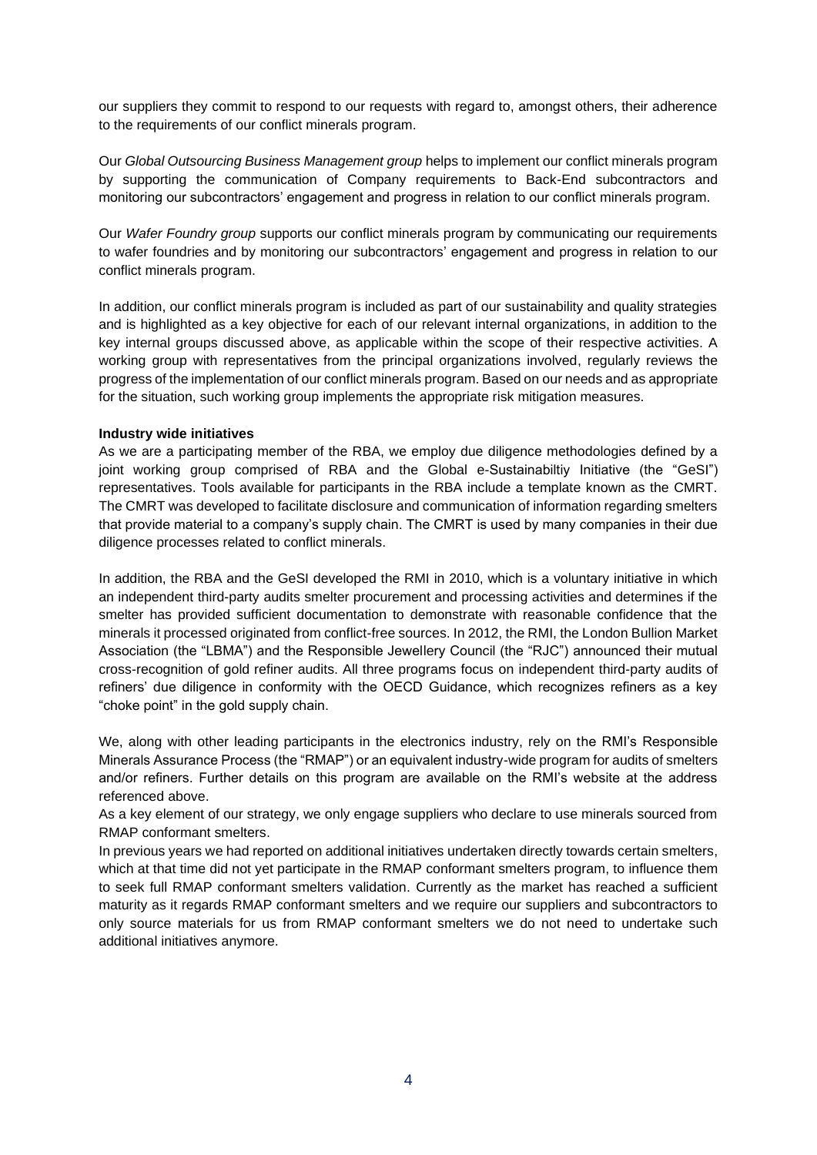our suppliers they commit to respond to our requests with regard to, amongst others, their adherence to the requirements of our conflict minerals program.

Our *Global Outsourcing Business Management group* helps to implement our conflict minerals program by supporting the communication of Company requirements to Back-End subcontractors and monitoring our subcontractors' engagement and progress in relation to our conflict minerals program.

Our *Wafer Foundry group* supports our conflict minerals program by communicating our requirements to wafer foundries and by monitoring our subcontractors' engagement and progress in relation to our conflict minerals program.

In addition, our conflict minerals program is included as part of our sustainability and quality strategies and is highlighted as a key objective for each of our relevant internal organizations, in addition to the key internal groups discussed above, as applicable within the scope of their respective activities. A working group with representatives from the principal organizations involved, regularly reviews the progress of the implementation of our conflict minerals program. Based on our needs and as appropriate for the situation, such working group implements the appropriate risk mitigation measures.

### **Industry wide initiatives**

As we are a participating member of the RBA, we employ due diligence methodologies defined by a joint working group comprised of RBA and the Global e-Sustainabiltiy Initiative (the "GeSI") representatives. Tools available for participants in the RBA include a template known as the CMRT. The CMRT was developed to facilitate disclosure and communication of information regarding smelters that provide material to a company's supply chain. The CMRT is used by many companies in their due diligence processes related to conflict minerals.

In addition, the RBA and the GeSI developed the RMI in 2010, which is a voluntary initiative in which an independent third-party audits smelter procurement and processing activities and determines if the smelter has provided sufficient documentation to demonstrate with reasonable confidence that the minerals it processed originated from conflict-free sources. In 2012, the RMI, the London Bullion Market Association (the "LBMA") and the Responsible Jewellery Council (the "RJC") announced their mutual cross-recognition of gold refiner audits. All three programs focus on independent third-party audits of refiners' due diligence in conformity with the OECD Guidance, which recognizes refiners as a key "choke point" in the gold supply chain.

We, along with other leading participants in the electronics industry, rely on the RMI's Responsible Minerals Assurance Process (the "RMAP") or an equivalent industry-wide program for audits of smelters and/or refiners. Further details on this program are available on the RMI's website at the address referenced above.

As a key element of our strategy, we only engage suppliers who declare to use minerals sourced from RMAP conformant smelters.

In previous years we had reported on additional initiatives undertaken directly towards certain smelters, which at that time did not yet participate in the RMAP conformant smelters program, to influence them to seek full RMAP conformant smelters validation. Currently as the market has reached a sufficient maturity as it regards RMAP conformant smelters and we require our suppliers and subcontractors to only source materials for us from RMAP conformant smelters we do not need to undertake such additional initiatives anymore.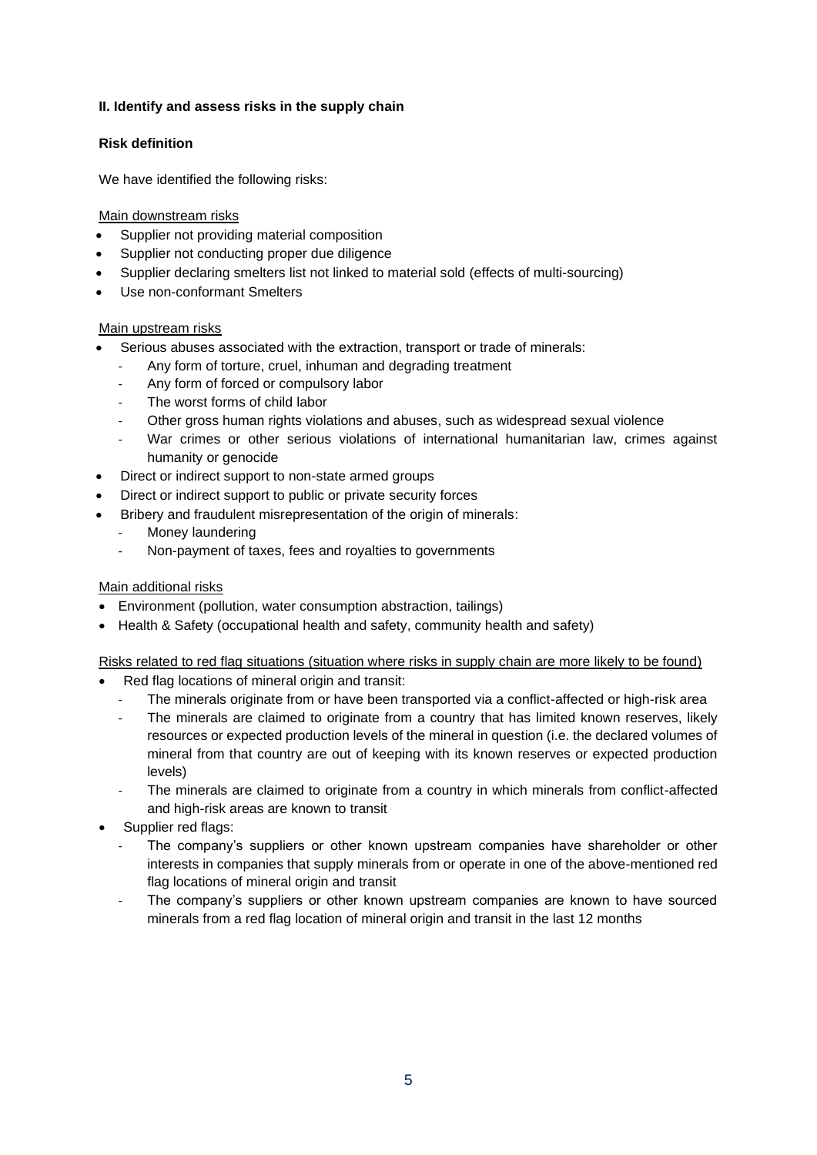# **II. Identify and assess risks in the supply chain**

# **Risk definition**

We have identified the following risks:

# Main downstream risks

- Supplier not providing material composition
- Supplier not conducting proper due diligence
- Supplier declaring smelters list not linked to material sold (effects of multi-sourcing)
- Use non-conformant Smelters

# Main upstream risks

- Serious abuses associated with the extraction, transport or trade of minerals:
	- Any form of torture, cruel, inhuman and degrading treatment
	- Any form of forced or compulsory labor
	- The worst forms of child labor
	- Other gross human rights violations and abuses, such as widespread sexual violence
	- War crimes or other serious violations of international humanitarian law, crimes against humanity or genocide
- Direct or indirect support to non-state armed groups
- Direct or indirect support to public or private security forces
- Bribery and fraudulent misrepresentation of the origin of minerals:
	- Money laundering
	- Non-payment of taxes, fees and royalties to governments

# Main additional risks

- Environment (pollution, water consumption abstraction, tailings)
- Health & Safety (occupational health and safety, community health and safety)

Risks related to red flag situations (situation where risks in supply chain are more likely to be found)

- Red flag locations of mineral origin and transit:
	- The minerals originate from or have been transported via a conflict-affected or high-risk area
	- The minerals are claimed to originate from a country that has limited known reserves, likely resources or expected production levels of the mineral in question (i.e. the declared volumes of mineral from that country are out of keeping with its known reserves or expected production levels)
	- The minerals are claimed to originate from a country in which minerals from conflict-affected and high-risk areas are known to transit
- Supplier red flags:
	- The company's suppliers or other known upstream companies have shareholder or other interests in companies that supply minerals from or operate in one of the above-mentioned red flag locations of mineral origin and transit
	- The company's suppliers or other known upstream companies are known to have sourced minerals from a red flag location of mineral origin and transit in the last 12 months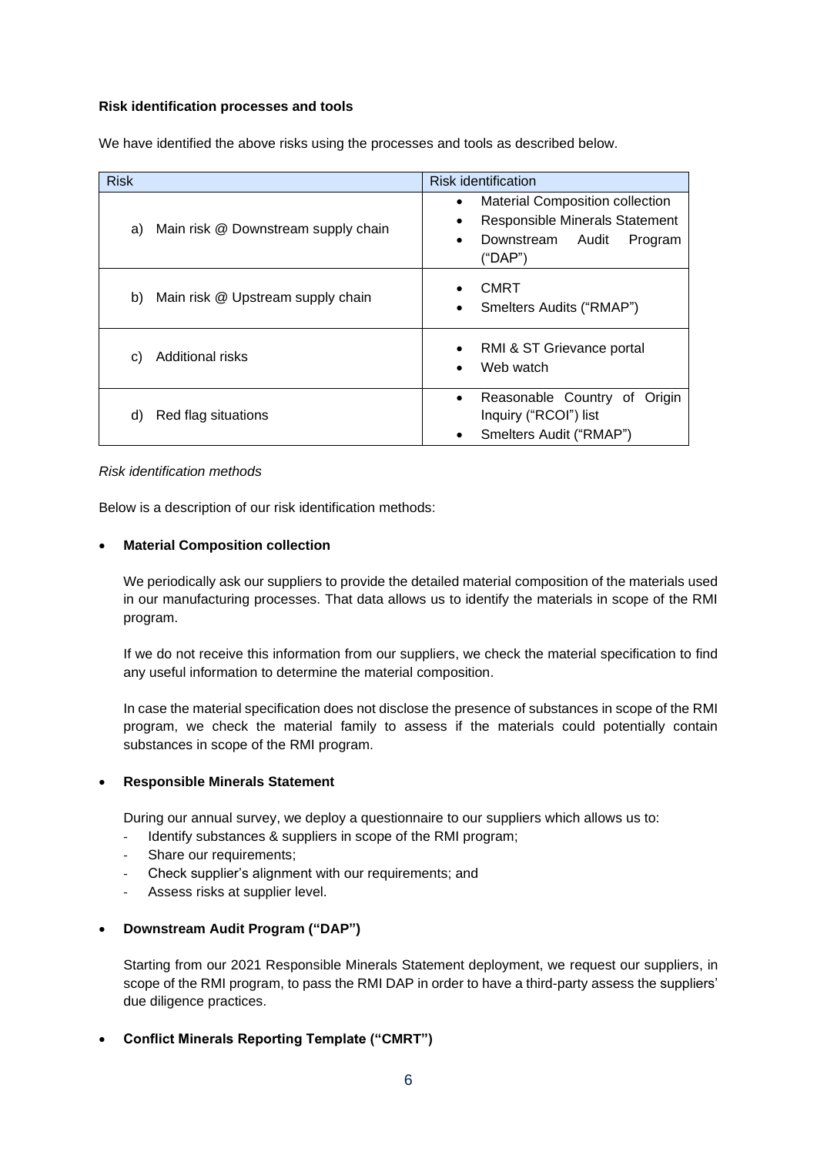### **Risk identification processes and tools**

| <b>Risk</b>                               | <b>Risk identification</b>                                                                                                                  |
|-------------------------------------------|---------------------------------------------------------------------------------------------------------------------------------------------|
| Main risk @ Downstream supply chain<br>a) | <b>Material Composition collection</b><br>٠<br><b>Responsible Minerals Statement</b><br>٠<br>Downstream<br>Audit<br>Program<br>٠<br>("DAP") |
| Main risk @ Upstream supply chain<br>b)   | <b>CMRT</b><br>Smelters Audits ("RMAP")<br>٠                                                                                                |
| <b>Additional risks</b><br>C)             | RMI & ST Grievance portal<br>$\bullet$<br>Web watch                                                                                         |
| Red flag situations<br>d)                 | Reasonable Country of<br>Origin<br>٠<br>Inquiry ("RCOI") list<br>Smelters Audit ("RMAP")<br>٠                                               |

We have identified the above risks using the processes and tools as described below.

#### *Risk identification methods*

Below is a description of our risk identification methods:

#### • **Material Composition collection**

We periodically ask our suppliers to provide the detailed material composition of the materials used in our manufacturing processes. That data allows us to identify the materials in scope of the RMI program.

If we do not receive this information from our suppliers, we check the material specification to find any useful information to determine the material composition.

In case the material specification does not disclose the presence of substances in scope of the RMI program, we check the material family to assess if the materials could potentially contain substances in scope of the RMI program.

#### • **Responsible Minerals Statement**

During our annual survey, we deploy a questionnaire to our suppliers which allows us to:

- Identify substances & suppliers in scope of the RMI program;
- Share our requirements;
- Check supplier's alignment with our requirements; and
- Assess risks at supplier level.

### • **Downstream Audit Program ("DAP")**

Starting from our 2021 Responsible Minerals Statement deployment, we request our suppliers, in scope of the RMI program, to pass the RMI DAP in order to have a third-party assess the suppliers' due diligence practices.

• **Conflict Minerals Reporting Template ("CMRT")**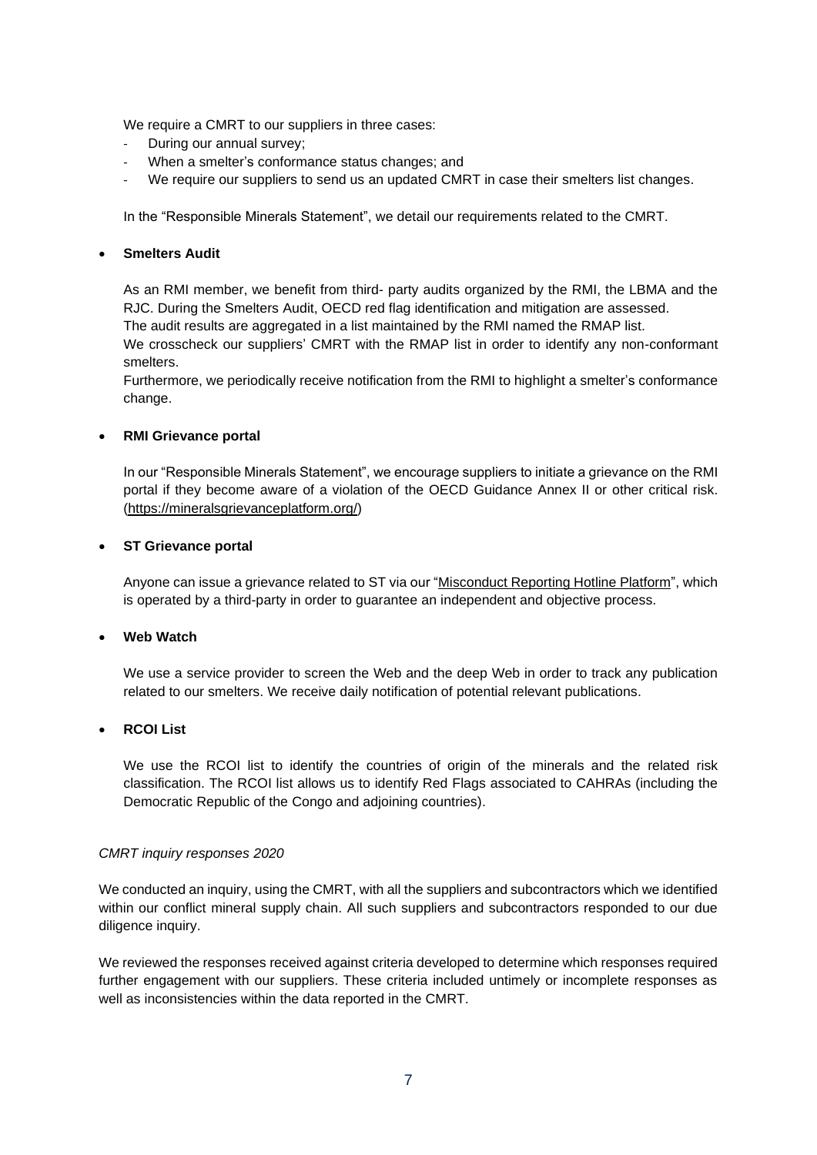We require a CMRT to our suppliers in three cases:

- During our annual survey;
- When a smelter's conformance status changes; and
- We require our suppliers to send us an updated CMRT in case their smelters list changes.

In the "Responsible Minerals Statement", we detail our requirements related to the CMRT.

### • **Smelters Audit**

As an RMI member, we benefit from third- party audits organized by the RMI, the LBMA and the RJC. During the Smelters Audit, OECD red flag identification and mitigation are assessed. The audit results are aggregated in a list maintained by the RMI named the RMAP list.

We crosscheck our suppliers' CMRT with the RMAP list in order to identify any non-conformant smelters.

Furthermore, we periodically receive notification from the RMI to highlight a smelter's conformance change.

### • **RMI Grievance portal**

In our "Responsible Minerals Statement", we encourage suppliers to initiate a grievance on the RMI portal if they become aware of a violation of the OECD Guidance Annex II or other critical risk. [\(https://mineralsgrievanceplatform.org/\)](https://mineralsgrievanceplatform.org/)

### • **ST Grievance portal**

Anyone can issue a grievance related to ST via our ["Misconduct Reporting Hotline Platform"](https://secure.ethicspoint.eu/domain/media/en/gui/104021/index.html), which is operated by a third-party in order to guarantee an independent and objective process.

### • **Web Watch**

We use a service provider to screen the Web and the deep Web in order to track any publication related to our smelters. We receive daily notification of potential relevant publications.

# • **RCOI List**

We use the RCOI list to identify the countries of origin of the minerals and the related risk classification. The RCOI list allows us to identify Red Flags associated to CAHRAs (including the Democratic Republic of the Congo and adjoining countries).

#### *CMRT inquiry responses 2020*

We conducted an inquiry, using the CMRT, with all the suppliers and subcontractors which we identified within our conflict mineral supply chain. All such suppliers and subcontractors responded to our due diligence inquiry.

We reviewed the responses received against criteria developed to determine which responses required further engagement with our suppliers. These criteria included untimely or incomplete responses as well as inconsistencies within the data reported in the CMRT.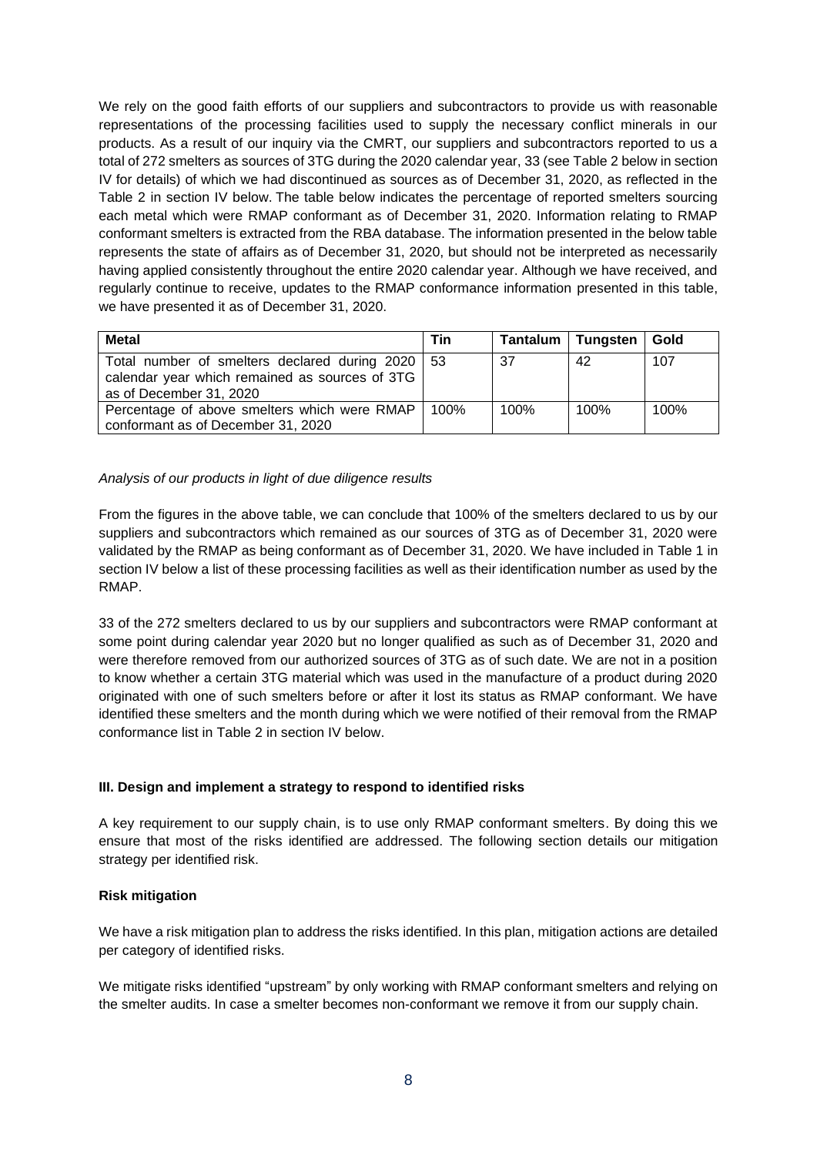We rely on the good faith efforts of our suppliers and subcontractors to provide us with reasonable representations of the processing facilities used to supply the necessary conflict minerals in our products. As a result of our inquiry via the CMRT, our suppliers and subcontractors reported to us a total of 272 smelters as sources of 3TG during the 2020 calendar year, 33 (see Table 2 below in section IV for details) of which we had discontinued as sources as of December 31, 2020, as reflected in the Table 2 in section IV below. The table below indicates the percentage of reported smelters sourcing each metal which were RMAP conformant as of December 31, 2020. Information relating to RMAP conformant smelters is extracted from the RBA database. The information presented in the below table represents the state of affairs as of December 31, 2020, but should not be interpreted as necessarily having applied consistently throughout the entire 2020 calendar year. Although we have received, and regularly continue to receive, updates to the RMAP conformance information presented in this table, we have presented it as of December 31, 2020.

| <b>Metal</b>                                                                                                                    | Tin  |      | Tantalum   Tungsten | Gold |
|---------------------------------------------------------------------------------------------------------------------------------|------|------|---------------------|------|
| Total number of smelters declared during 2020   53<br>calendar year which remained as sources of 3TG<br>as of December 31, 2020 |      | 37   | 42                  | 107  |
| Percentage of above smelters which were RMAP<br>conformant as of December 31, 2020                                              | 100% | 100% | 100%                | 100% |

### *Analysis of our products in light of due diligence results*

From the figures in the above table, we can conclude that 100% of the smelters declared to us by our suppliers and subcontractors which remained as our sources of 3TG as of December 31, 2020 were validated by the RMAP as being conformant as of December 31, 2020. We have included in Table 1 in section IV below a list of these processing facilities as well as their identification number as used by the RMAP.

33 of the 272 smelters declared to us by our suppliers and subcontractors were RMAP conformant at some point during calendar year 2020 but no longer qualified as such as of December 31, 2020 and were therefore removed from our authorized sources of 3TG as of such date. We are not in a position to know whether a certain 3TG material which was used in the manufacture of a product during 2020 originated with one of such smelters before or after it lost its status as RMAP conformant. We have identified these smelters and the month during which we were notified of their removal from the RMAP conformance list in Table 2 in section IV below.

### **III. Design and implement a strategy to respond to identified risks**

A key requirement to our supply chain, is to use only RMAP conformant smelters. By doing this we ensure that most of the risks identified are addressed. The following section details our mitigation strategy per identified risk.

### **Risk mitigation**

We have a risk mitigation plan to address the risks identified. In this plan, mitigation actions are detailed per category of identified risks.

We mitigate risks identified "upstream" by only working with RMAP conformant smelters and relying on the smelter audits. In case a smelter becomes non-conformant we remove it from our supply chain.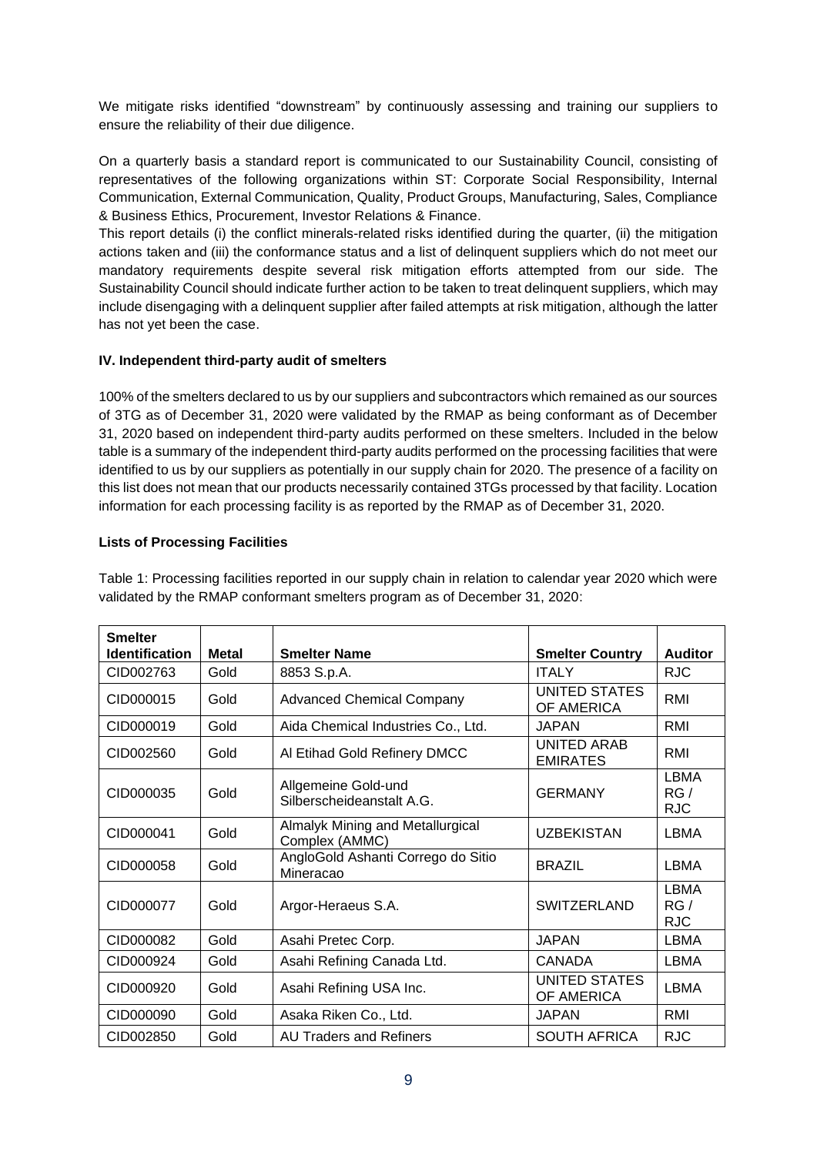We mitigate risks identified "downstream" by continuously assessing and training our suppliers to ensure the reliability of their due diligence.

On a quarterly basis a standard report is communicated to our Sustainability Council, consisting of representatives of the following organizations within ST: Corporate Social Responsibility, Internal Communication, External Communication, Quality, Product Groups, Manufacturing, Sales, Compliance & Business Ethics, Procurement, Investor Relations & Finance.

This report details (i) the conflict minerals-related risks identified during the quarter, (ii) the mitigation actions taken and (iii) the conformance status and a list of delinquent suppliers which do not meet our mandatory requirements despite several risk mitigation efforts attempted from our side. The Sustainability Council should indicate further action to be taken to treat delinquent suppliers, which may include disengaging with a delinquent supplier after failed attempts at risk mitigation, although the latter has not yet been the case.

### **IV. Independent third-party audit of smelters**

100% of the smelters declared to us by our suppliers and subcontractors which remained as our sources of 3TG as of December 31, 2020 were validated by the RMAP as being conformant as of December 31, 2020 based on independent third-party audits performed on these smelters. Included in the below table is a summary of the independent third-party audits performed on the processing facilities that were identified to us by our suppliers as potentially in our supply chain for 2020. The presence of a facility on this list does not mean that our products necessarily contained 3TGs processed by that facility. Location information for each processing facility is as reported by the RMAP as of December 31, 2020.

### **Lists of Processing Facilities**

| <b>Smelter</b>        |              |                                                    |                                    |                                  |
|-----------------------|--------------|----------------------------------------------------|------------------------------------|----------------------------------|
| <b>Identification</b> | <b>Metal</b> | <b>Smelter Name</b>                                | <b>Smelter Country</b>             | <b>Auditor</b>                   |
| CID002763             | Gold         | 8853 S.p.A.                                        | <b>ITALY</b>                       | <b>RJC</b>                       |
| CID000015             | Gold         | <b>Advanced Chemical Company</b>                   | <b>UNITED STATES</b><br>OF AMERICA | RMI                              |
| CID000019             | Gold         | Aida Chemical Industries Co., Ltd.                 | <b>JAPAN</b>                       | RMI                              |
| CID002560             | Gold         | Al Etihad Gold Refinery DMCC                       | UNITED ARAB<br><b>EMIRATES</b>     | RMI                              |
| CID000035             | Gold         | Allgemeine Gold-und<br>Silberscheideanstalt A.G.   | <b>GERMANY</b>                     | <b>LBMA</b><br>RG/<br><b>RJC</b> |
| CID000041             | Gold         | Almalyk Mining and Metallurgical<br>Complex (AMMC) | <b>UZBEKISTAN</b>                  | LBMA                             |
| CID000058             | Gold         | AngloGold Ashanti Corrego do Sitio<br>Mineracao    | <b>BRAZIL</b>                      | <b>LBMA</b>                      |
| CID000077             | Gold         | Argor-Heraeus S.A.                                 | <b>SWITZERLAND</b>                 | <b>LBMA</b><br>RG/<br><b>RJC</b> |
| CID000082             | Gold         | Asahi Pretec Corp.                                 | <b>JAPAN</b>                       | LBMA                             |
| CID000924             | Gold         | Asahi Refining Canada Ltd.                         | <b>CANADA</b>                      | <b>LBMA</b>                      |
| CID000920             | Gold         | Asahi Refining USA Inc.                            | <b>UNITED STATES</b><br>OF AMERICA | LBMA                             |
| CID000090             | Gold         | Asaka Riken Co., Ltd.                              | <b>JAPAN</b>                       | RMI                              |
| CID002850             | Gold         | <b>AU Traders and Refiners</b>                     | <b>SOUTH AFRICA</b>                | <b>RJC</b>                       |

Table 1: Processing facilities reported in our supply chain in relation to calendar year 2020 which were validated by the RMAP conformant smelters program as of December 31, 2020: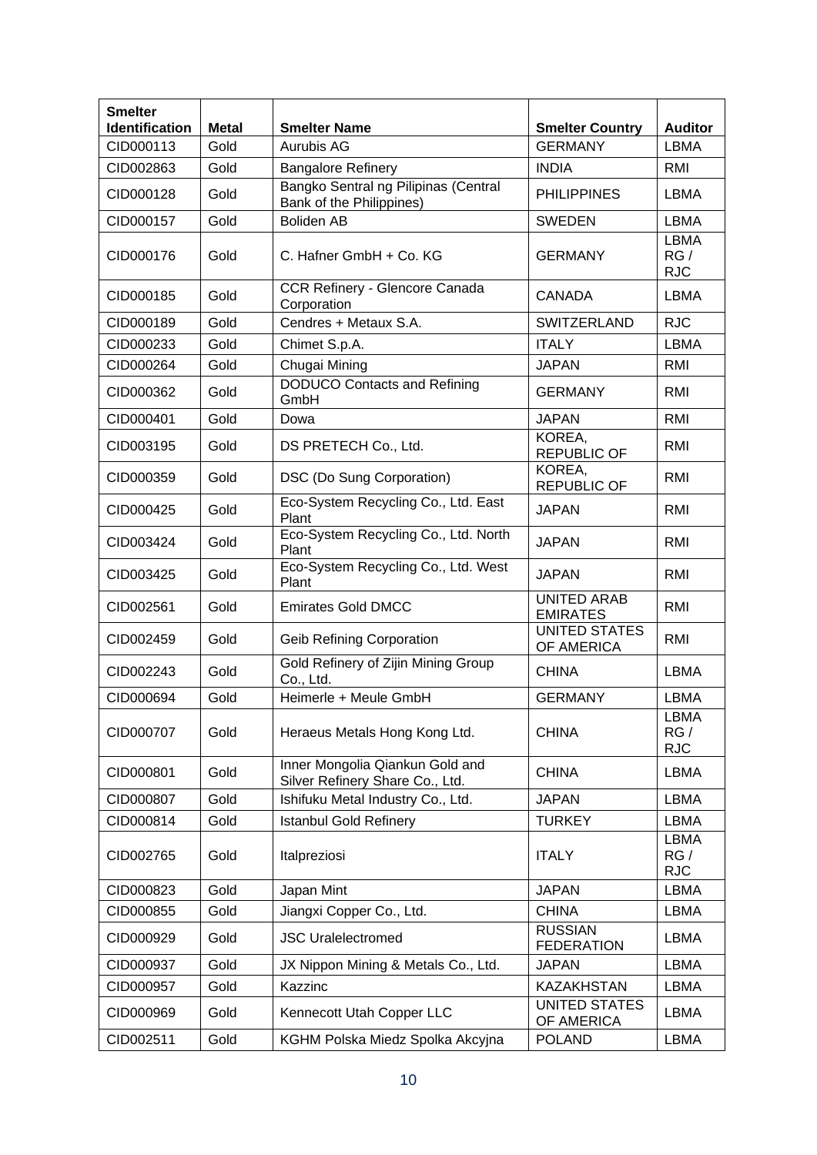| <b>Smelter</b><br>Identification | <b>Metal</b> | <b>Smelter Name</b>                                                | <b>Smelter Country</b>                | <b>Auditor</b>                   |
|----------------------------------|--------------|--------------------------------------------------------------------|---------------------------------------|----------------------------------|
| CID000113                        | Gold         | Aurubis AG                                                         | <b>GERMANY</b>                        | <b>LBMA</b>                      |
| CID002863                        | Gold         | <b>Bangalore Refinery</b>                                          | <b>INDIA</b>                          | RMI                              |
| CID000128                        | Gold         | Bangko Sentral ng Pilipinas (Central<br>Bank of the Philippines)   | <b>PHILIPPINES</b>                    | LBMA                             |
| CID000157                        | Gold         | <b>Boliden AB</b>                                                  | <b>SWEDEN</b>                         | <b>LBMA</b>                      |
| CID000176                        | Gold         | C. Hafner GmbH + Co. KG                                            | <b>GERMANY</b>                        | <b>LBMA</b><br>RG/<br><b>RJC</b> |
| CID000185                        | Gold         | CCR Refinery - Glencore Canada<br>Corporation                      | <b>CANADA</b>                         | <b>LBMA</b>                      |
| CID000189                        | Gold         | Cendres + Metaux S.A.                                              | SWITZERLAND                           | <b>RJC</b>                       |
| CID000233                        | Gold         | Chimet S.p.A.                                                      | <b>ITALY</b>                          | <b>LBMA</b>                      |
| CID000264                        | Gold         | Chugai Mining                                                      | <b>JAPAN</b>                          | RMI                              |
| CID000362                        | Gold         | <b>DODUCO Contacts and Refining</b><br>GmbH                        | <b>GERMANY</b>                        | RMI                              |
| CID000401                        | Gold         | Dowa                                                               | <b>JAPAN</b>                          | RMI                              |
| CID003195                        | Gold         | DS PRETECH Co., Ltd.                                               | KOREA,<br><b>REPUBLIC OF</b>          | RMI                              |
| CID000359                        | Gold         | DSC (Do Sung Corporation)                                          | KOREA,<br><b>REPUBLIC OF</b>          | RMI                              |
| CID000425                        | Gold         | Eco-System Recycling Co., Ltd. East<br>Plant                       | <b>JAPAN</b>                          | RMI                              |
| CID003424                        | Gold         | Eco-System Recycling Co., Ltd. North<br>Plant                      | <b>JAPAN</b>                          | RMI                              |
| CID003425                        | Gold         | Eco-System Recycling Co., Ltd. West<br>Plant                       | <b>JAPAN</b>                          | RMI                              |
| CID002561                        | Gold         | <b>Emirates Gold DMCC</b>                                          | <b>UNITED ARAB</b><br><b>EMIRATES</b> | <b>RMI</b>                       |
| CID002459                        | Gold         | <b>Geib Refining Corporation</b>                                   | <b>UNITED STATES</b><br>OF AMERICA    | RMI                              |
| CID002243                        | Gold         | Gold Refinery of Zijin Mining Group<br>Co., Ltd.                   | <b>CHINA</b>                          | LBMA                             |
| CID000694                        | Gold         | Heimerle + Meule GmbH                                              | <b>GERMANY</b>                        | LBMA                             |
| CID000707                        | Gold         | Heraeus Metals Hong Kong Ltd.                                      | <b>CHINA</b>                          | <b>LBMA</b><br>RG/<br><b>RJC</b> |
| CID000801                        | Gold         | Inner Mongolia Qiankun Gold and<br>Silver Refinery Share Co., Ltd. | <b>CHINA</b>                          | LBMA                             |
| CID000807                        | Gold         | Ishifuku Metal Industry Co., Ltd.                                  | <b>JAPAN</b>                          | LBMA                             |
| CID000814                        | Gold         | <b>Istanbul Gold Refinery</b>                                      | <b>TURKEY</b>                         | <b>LBMA</b>                      |
| CID002765                        | Gold         | Italpreziosi                                                       | <b>ITALY</b>                          | <b>LBMA</b><br>RG/<br><b>RJC</b> |
| CID000823                        | Gold         | Japan Mint                                                         | <b>JAPAN</b>                          | LBMA                             |
| CID000855                        | Gold         | Jiangxi Copper Co., Ltd.                                           | <b>CHINA</b>                          | LBMA                             |
| CID000929                        | Gold         | <b>JSC Uralelectromed</b>                                          | <b>RUSSIAN</b><br><b>FEDERATION</b>   | LBMA                             |
| CID000937                        | Gold         | JX Nippon Mining & Metals Co., Ltd.                                | <b>JAPAN</b>                          | LBMA                             |
| CID000957                        | Gold         | Kazzinc                                                            | <b>KAZAKHSTAN</b>                     | LBMA                             |
| CID000969                        | Gold         | Kennecott Utah Copper LLC                                          | <b>UNITED STATES</b><br>OF AMERICA    | LBMA                             |
| CID002511                        | Gold         | KGHM Polska Miedz Spolka Akcyjna                                   | <b>POLAND</b>                         | LBMA                             |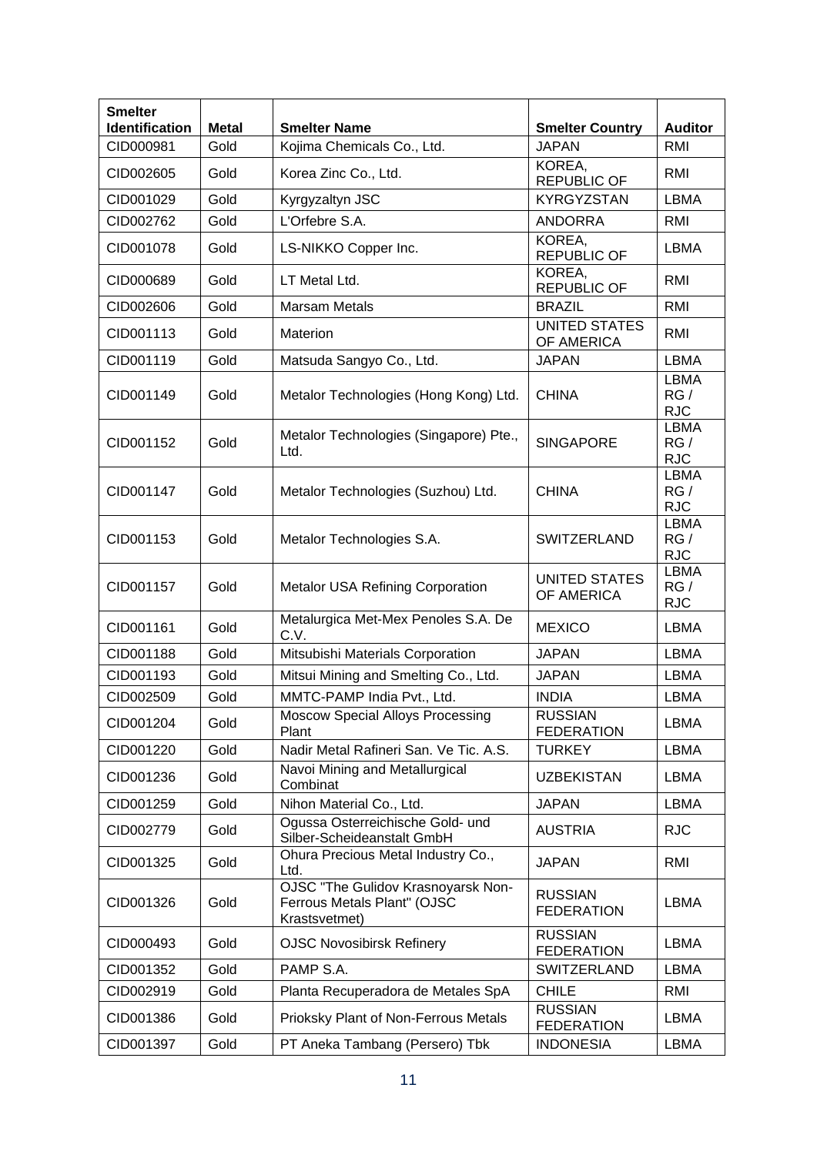| <b>Smelter</b><br><b>Identification</b> | <b>Metal</b> | <b>Smelter Name</b>                                                                | <b>Smelter Country</b>              | <b>Auditor</b>                   |
|-----------------------------------------|--------------|------------------------------------------------------------------------------------|-------------------------------------|----------------------------------|
| CID000981                               | Gold         | Kojima Chemicals Co., Ltd.                                                         | <b>JAPAN</b>                        | <b>RMI</b>                       |
| CID002605                               | Gold         | Korea Zinc Co., Ltd.                                                               | KOREA,<br><b>REPUBLIC OF</b>        | RMI                              |
| CID001029                               | Gold         | Kyrgyzaltyn JSC                                                                    | <b>KYRGYZSTAN</b>                   | LBMA                             |
| CID002762                               | Gold         | L'Orfebre S.A.                                                                     | <b>ANDORRA</b>                      | RMI                              |
| CID001078                               | Gold         | LS-NIKKO Copper Inc.                                                               | KOREA,<br><b>REPUBLIC OF</b>        | <b>LBMA</b>                      |
| CID000689                               | Gold         | LT Metal Ltd.                                                                      | KOREA,<br><b>REPUBLIC OF</b>        | RMI                              |
| CID002606                               | Gold         | <b>Marsam Metals</b>                                                               | <b>BRAZIL</b>                       | RMI                              |
| CID001113                               | Gold         | Materion                                                                           | <b>UNITED STATES</b><br>OF AMERICA  | RMI                              |
| CID001119                               | Gold         | Matsuda Sangyo Co., Ltd.                                                           | <b>JAPAN</b>                        | <b>LBMA</b>                      |
| CID001149                               | Gold         | Metalor Technologies (Hong Kong) Ltd.                                              | <b>CHINA</b>                        | <b>LBMA</b><br>RG/<br><b>RJC</b> |
| CID001152                               | Gold         | Metalor Technologies (Singapore) Pte.,<br>Ltd.                                     | <b>SINGAPORE</b>                    | <b>LBMA</b><br>RG/<br><b>RJC</b> |
| CID001147                               | Gold         | Metalor Technologies (Suzhou) Ltd.                                                 | <b>CHINA</b>                        | <b>LBMA</b><br>RG/<br><b>RJC</b> |
| CID001153                               | Gold         | Metalor Technologies S.A.                                                          | SWITZERLAND                         | <b>LBMA</b><br>RG/<br><b>RJC</b> |
| CID001157                               | Gold         | <b>UNITED STATES</b><br>Metalor USA Refining Corporation<br>OF AMERICA             |                                     | <b>LBMA</b><br>RG/<br><b>RJC</b> |
| CID001161                               | Gold         | Metalurgica Met-Mex Penoles S.A. De<br><b>MEXICO</b><br>C.V.                       |                                     | <b>LBMA</b>                      |
| CID001188                               | Gold         | Mitsubishi Materials Corporation                                                   | <b>JAPAN</b>                        | <b>LBMA</b>                      |
| CID001193                               | Gold         | Mitsui Mining and Smelting Co., Ltd.                                               | <b>JAPAN</b>                        | LBMA                             |
| CID002509                               | Gold         | MMTC-PAMP India Pvt., Ltd.                                                         | <b>INDIA</b>                        | <b>LBMA</b>                      |
| CID001204                               | Gold         | <b>Moscow Special Alloys Processing</b><br>Plant                                   | <b>RUSSIAN</b><br><b>FEDERATION</b> | <b>LBMA</b>                      |
| CID001220                               | Gold         | Nadir Metal Rafineri San. Ve Tic. A.S.                                             | <b>TURKEY</b>                       | LBMA                             |
| CID001236                               | Gold         | Navoi Mining and Metallurgical<br>Combinat                                         | <b>UZBEKISTAN</b>                   | LBMA                             |
| CID001259                               | Gold         | Nihon Material Co., Ltd.                                                           | <b>JAPAN</b>                        | LBMA                             |
| CID002779                               | Gold         | Ogussa Osterreichische Gold- und<br>Silber-Scheideanstalt GmbH                     | <b>AUSTRIA</b>                      | <b>RJC</b>                       |
| CID001325                               | Gold         | Ohura Precious Metal Industry Co.,<br>Ltd.                                         | <b>JAPAN</b>                        | RMI                              |
| CID001326                               | Gold         | OJSC "The Gulidov Krasnoyarsk Non-<br>Ferrous Metals Plant" (OJSC<br>Krastsvetmet) | <b>RUSSIAN</b><br><b>FEDERATION</b> | <b>LBMA</b>                      |
| CID000493                               | Gold         | <b>OJSC Novosibirsk Refinery</b>                                                   | <b>RUSSIAN</b><br><b>FEDERATION</b> | LBMA                             |
| CID001352                               | Gold         | PAMP S.A.                                                                          | <b>SWITZERLAND</b>                  | LBMA                             |
| CID002919                               | Gold         | Planta Recuperadora de Metales SpA                                                 | <b>CHILE</b>                        | RMI                              |
| CID001386                               | Gold         | Prioksky Plant of Non-Ferrous Metals                                               | <b>RUSSIAN</b><br><b>FEDERATION</b> | LBMA                             |
| CID001397                               | Gold         | PT Aneka Tambang (Persero) Tbk                                                     | <b>INDONESIA</b>                    | <b>LBMA</b>                      |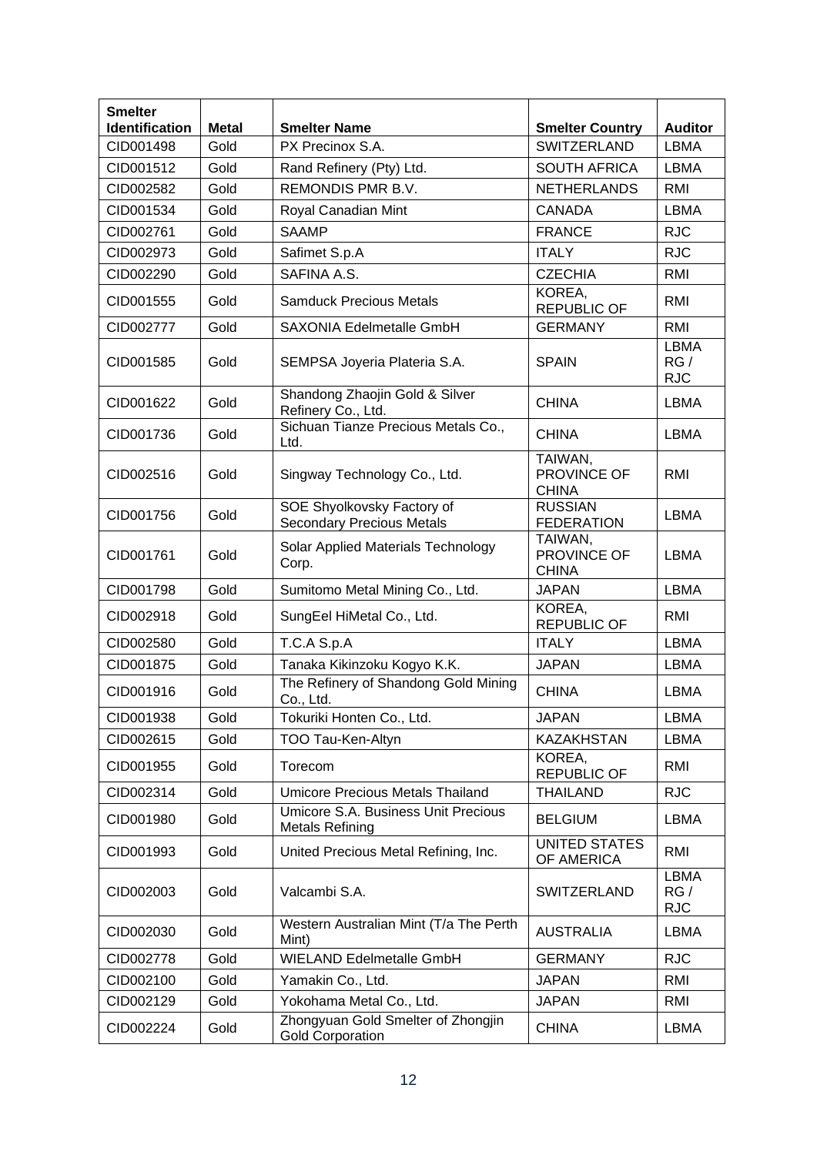| <b>Smelter</b><br>Identification | <b>Metal</b> | <b>Smelter Name</b>                                                    | <b>Smelter Country</b>                 | <b>Auditor</b>                   |
|----------------------------------|--------------|------------------------------------------------------------------------|----------------------------------------|----------------------------------|
| CID001498                        | Gold         | PX Precinox S.A.                                                       | <b>SWITZERLAND</b>                     | <b>LBMA</b>                      |
| CID001512                        | Gold         | Rand Refinery (Pty) Ltd.                                               | <b>SOUTH AFRICA</b>                    | LBMA                             |
| CID002582                        | Gold         | REMONDIS PMR B.V.                                                      | <b>NETHERLANDS</b>                     | RMI                              |
| CID001534                        | Gold         | Royal Canadian Mint                                                    | <b>CANADA</b>                          | <b>LBMA</b>                      |
| CID002761                        | Gold         | <b>SAAMP</b>                                                           | <b>FRANCE</b>                          | <b>RJC</b>                       |
| CID002973                        | Gold         | Safimet S.p.A                                                          | <b>ITALY</b>                           | <b>RJC</b>                       |
| CID002290                        | Gold         | SAFINA A.S.                                                            | <b>CZECHIA</b>                         | RMI                              |
| CID001555                        | Gold         | <b>Samduck Precious Metals</b>                                         | KOREA,<br><b>REPUBLIC OF</b>           | RMI                              |
| CID002777                        | Gold         | SAXONIA Edelmetalle GmbH                                               | <b>GERMANY</b>                         | <b>RMI</b>                       |
| CID001585                        | Gold         | SEMPSA Joyeria Plateria S.A.                                           | <b>SPAIN</b>                           | <b>LBMA</b><br>RG/<br><b>RJC</b> |
| CID001622                        | Gold         | Shandong Zhaojin Gold & Silver<br>Refinery Co., Ltd.                   | <b>CHINA</b>                           | <b>LBMA</b>                      |
| CID001736                        | Gold         | Sichuan Tianze Precious Metals Co.,<br>Ltd.                            | <b>CHINA</b>                           | LBMA                             |
| CID002516                        | Gold         | TAIWAN,<br>PROVINCE OF<br>Singway Technology Co., Ltd.<br><b>CHINA</b> |                                        | <b>RMI</b>                       |
| CID001756                        | Gold         | SOE Shyolkovsky Factory of<br><b>Secondary Precious Metals</b>         | <b>RUSSIAN</b><br><b>FEDERATION</b>    | LBMA                             |
| CID001761                        | Gold         | Solar Applied Materials Technology<br>Corp.                            | TAIWAN,<br>PROVINCE OF<br><b>CHINA</b> | LBMA                             |
| CID001798                        | Gold         | Sumitomo Metal Mining Co., Ltd.                                        | <b>JAPAN</b>                           | <b>LBMA</b>                      |
| CID002918                        | Gold         | SungEel HiMetal Co., Ltd.                                              | KOREA,<br><b>REPUBLIC OF</b>           | RMI                              |
| CID002580                        | Gold         | T.C.A S.p.A                                                            | <b>ITALY</b>                           | LBMA                             |
| CID001875                        | Gold         | Tanaka Kikinzoku Kogyo K.K.                                            | <b>JAPAN</b>                           | <b>LBMA</b>                      |
| CID001916                        | Gold         | The Refinery of Shandong Gold Mining<br>Co., Ltd.                      | <b>CHINA</b>                           | LBMA                             |
| CID001938                        | Gold         | Tokuriki Honten Co., Ltd.                                              | JAPAN                                  | LBMA                             |
| CID002615                        | Gold         | TOO Tau-Ken-Altyn                                                      | <b>KAZAKHSTAN</b>                      | <b>LBMA</b>                      |
| CID001955                        | Gold         | Torecom                                                                | KOREA,<br><b>REPUBLIC OF</b>           | RMI                              |
| CID002314                        | Gold         | <b>Umicore Precious Metals Thailand</b>                                | <b>THAILAND</b>                        | <b>RJC</b>                       |
| CID001980                        | Gold         | Umicore S.A. Business Unit Precious<br><b>Metals Refining</b>          | <b>BELGIUM</b>                         | LBMA                             |
| CID001993                        | Gold         | United Precious Metal Refining, Inc.                                   | <b>UNITED STATES</b><br>OF AMERICA     | RMI                              |
| CID002003                        | Gold         | Valcambi S.A.                                                          | <b>SWITZERLAND</b>                     | <b>LBMA</b><br>RG/<br><b>RJC</b> |
| CID002030                        | Gold         | Western Australian Mint (T/a The Perth<br>Mint)                        | <b>AUSTRALIA</b>                       | LBMA                             |
| CID002778                        | Gold         | <b>WIELAND Edelmetalle GmbH</b>                                        | <b>GERMANY</b>                         | <b>RJC</b>                       |
| CID002100                        | Gold         | Yamakin Co., Ltd.                                                      | <b>JAPAN</b>                           | <b>RMI</b>                       |
| CID002129                        | Gold         | Yokohama Metal Co., Ltd.                                               | <b>JAPAN</b>                           | <b>RMI</b>                       |
| CID002224                        | Gold         | Zhongyuan Gold Smelter of Zhongjin<br><b>Gold Corporation</b>          | <b>CHINA</b>                           | LBMA                             |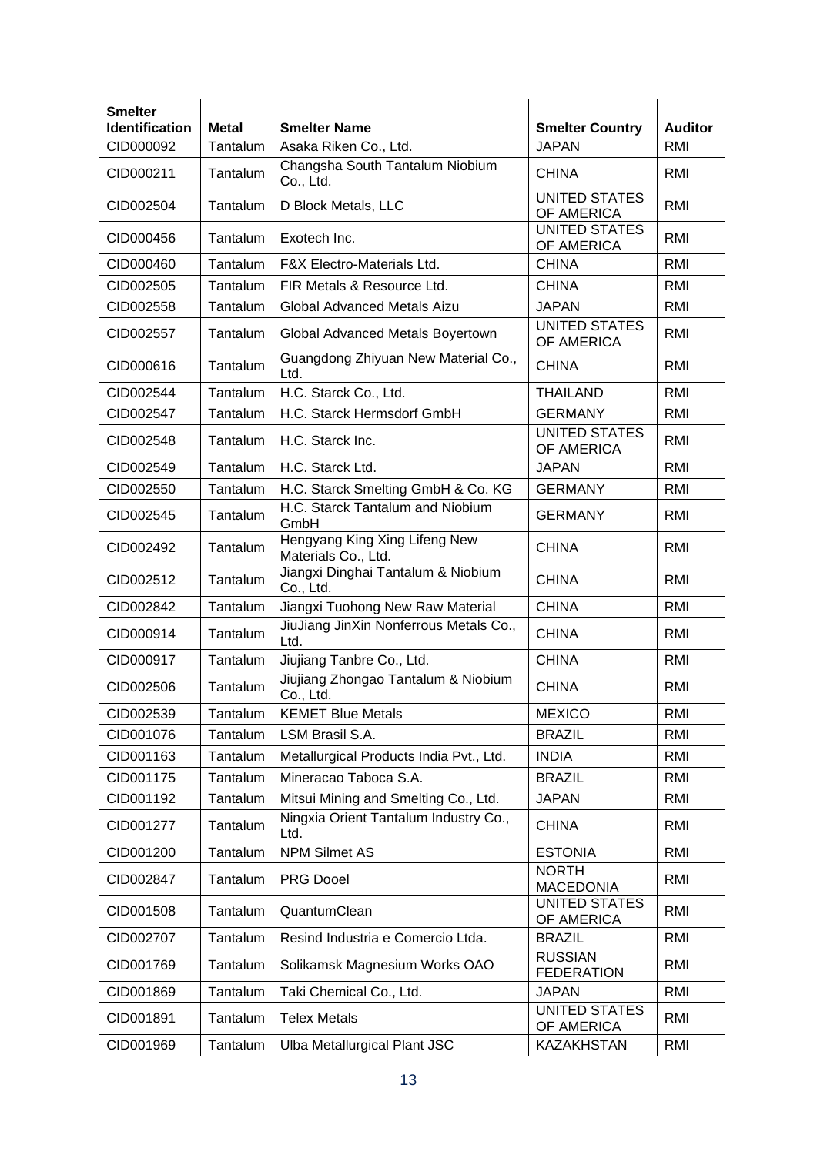| <b>Smelter</b><br>Identification | <b>Metal</b> | <b>Smelter Name</b>                                  | <b>Smelter Country</b>              | <b>Auditor</b> |
|----------------------------------|--------------|------------------------------------------------------|-------------------------------------|----------------|
| CID000092                        | Tantalum     | Asaka Riken Co., Ltd.                                | <b>JAPAN</b>                        | <b>RMI</b>     |
| CID000211                        | Tantalum     | Changsha South Tantalum Niobium<br>Co., Ltd.         | <b>CHINA</b>                        | RMI            |
| CID002504                        | Tantalum     | D Block Metals, LLC                                  | <b>UNITED STATES</b><br>OF AMERICA  | RMI            |
| CID000456                        | Tantalum     | Exotech Inc.                                         | <b>UNITED STATES</b><br>OF AMERICA  | RMI            |
| CID000460                        | Tantalum     | <b>F&amp;X Electro-Materials Ltd.</b>                | <b>CHINA</b>                        | RMI            |
| CID002505                        | Tantalum     | FIR Metals & Resource Ltd.                           | <b>CHINA</b>                        | RMI            |
| CID002558                        | Tantalum     | Global Advanced Metals Aizu                          | <b>JAPAN</b>                        | RMI            |
| CID002557                        | Tantalum     | Global Advanced Metals Boyertown                     | <b>UNITED STATES</b><br>OF AMERICA  | RMI            |
| CID000616                        | Tantalum     | Guangdong Zhiyuan New Material Co.,<br>Ltd.          | <b>CHINA</b>                        | RMI            |
| CID002544                        | Tantalum     | H.C. Starck Co., Ltd.                                | <b>THAILAND</b>                     | RMI            |
| CID002547                        | Tantalum     | H.C. Starck Hermsdorf GmbH                           | <b>GERMANY</b>                      | RMI            |
| CID002548                        | Tantalum     | H.C. Starck Inc.                                     | <b>UNITED STATES</b><br>OF AMERICA  | <b>RMI</b>     |
| CID002549                        | Tantalum     | H.C. Starck Ltd.                                     | <b>JAPAN</b>                        | <b>RMI</b>     |
| CID002550                        | Tantalum     | H.C. Starck Smelting GmbH & Co. KG                   | <b>GERMANY</b>                      | RMI            |
| CID002545                        | Tantalum     | H.C. Starck Tantalum and Niobium<br>GmbH             | <b>GERMANY</b>                      | RMI            |
| CID002492                        | Tantalum     | Hengyang King Xing Lifeng New<br>Materials Co., Ltd. | <b>CHINA</b>                        | RMI            |
| CID002512                        | Tantalum     | Jiangxi Dinghai Tantalum & Niobium<br>Co., Ltd.      | <b>CHINA</b>                        | RMI            |
| CID002842                        | Tantalum     | Jiangxi Tuohong New Raw Material                     | <b>CHINA</b>                        | <b>RMI</b>     |
| CID000914                        | Tantalum     | JiuJiang JinXin Nonferrous Metals Co.,<br>Ltd.       | <b>CHINA</b>                        | RMI            |
| CID000917                        | Tantalum     | Jiujiang Tanbre Co., Ltd.                            | <b>CHINA</b>                        | <b>RMI</b>     |
| CID002506                        | Tantalum     | Jiujiang Zhongao Tantalum & Niobium<br>Co., Ltd.     | <b>CHINA</b>                        | RMI            |
| CID002539                        | Tantalum     | <b>KEMET Blue Metals</b>                             | <b>MEXICO</b>                       | RMI            |
| CID001076                        | Tantalum     | LSM Brasil S.A.                                      | <b>BRAZIL</b>                       | RMI            |
| CID001163                        | Tantalum     | Metallurgical Products India Pvt., Ltd.              | <b>INDIA</b>                        | RMI            |
| CID001175                        | Tantalum     | Mineracao Taboca S.A.                                | <b>BRAZIL</b>                       | RMI            |
| CID001192                        | Tantalum     | Mitsui Mining and Smelting Co., Ltd.                 | <b>JAPAN</b>                        | RMI            |
| CID001277                        | Tantalum     | Ningxia Orient Tantalum Industry Co.,<br>Ltd.        | <b>CHINA</b>                        | RMI            |
| CID001200                        | Tantalum     | <b>NPM Silmet AS</b>                                 | <b>ESTONIA</b>                      | RMI            |
| CID002847                        | Tantalum     | <b>PRG Dooel</b>                                     | <b>NORTH</b><br><b>MACEDONIA</b>    | RMI            |
| CID001508                        | Tantalum     | QuantumClean                                         | <b>UNITED STATES</b><br>OF AMERICA  | RMI            |
| CID002707                        | Tantalum     | Resind Industria e Comercio Ltda.                    | <b>BRAZIL</b>                       | <b>RMI</b>     |
| CID001769                        | Tantalum     | Solikamsk Magnesium Works OAO                        | <b>RUSSIAN</b><br><b>FEDERATION</b> | RMI            |
| CID001869                        | Tantalum     | Taki Chemical Co., Ltd.                              | <b>JAPAN</b>                        | <b>RMI</b>     |
| CID001891                        | Tantalum     | <b>Telex Metals</b>                                  | <b>UNITED STATES</b><br>OF AMERICA  | RMI            |
| CID001969                        | Tantalum     | Ulba Metallurgical Plant JSC                         | <b>KAZAKHSTAN</b>                   | <b>RMI</b>     |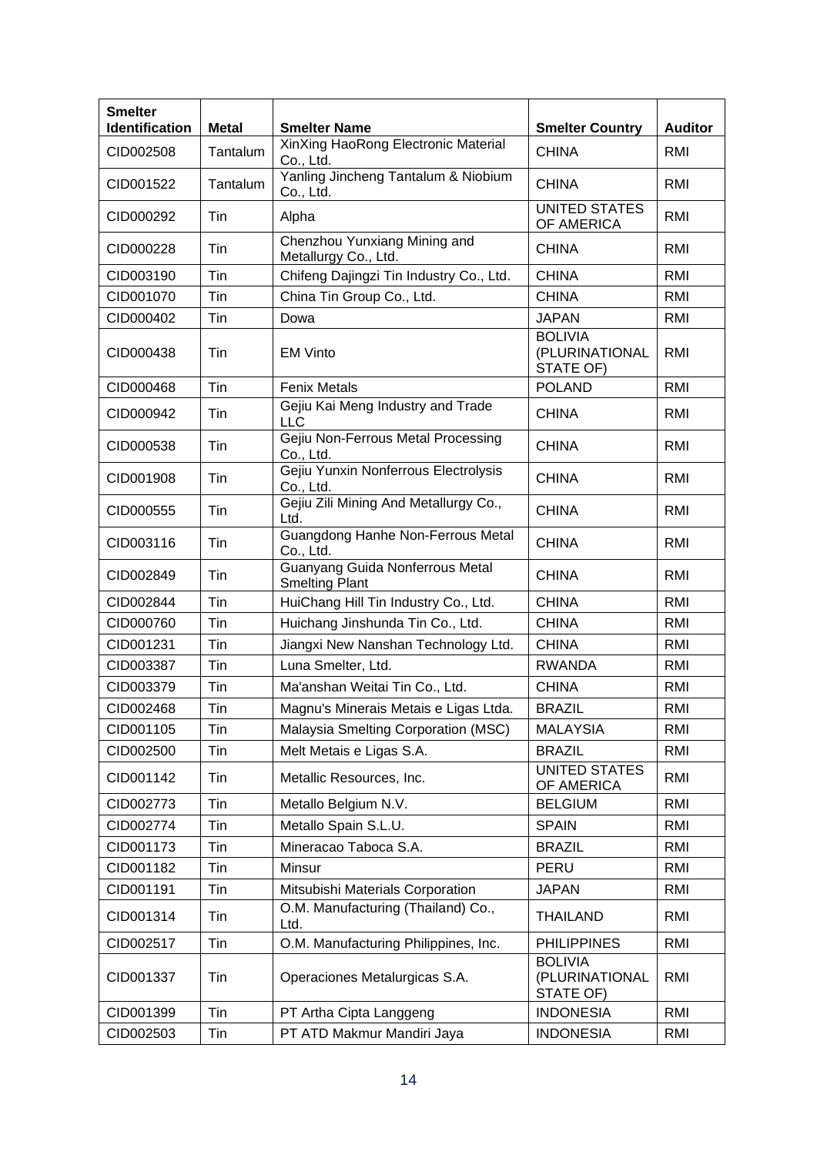| <b>Smelter</b><br><b>Identification</b> | <b>Metal</b>    | <b>Smelter Name</b>                                                      | <b>Smelter Country</b>                        | <b>Auditor</b> |
|-----------------------------------------|-----------------|--------------------------------------------------------------------------|-----------------------------------------------|----------------|
| CID002508                               | Tantalum        | XinXing HaoRong Electronic Material<br>Co., Ltd.                         | <b>CHINA</b>                                  | RMI            |
| CID001522                               | <b>Tantalum</b> | Yanling Jincheng Tantalum & Niobium<br>Co., Ltd.                         | <b>CHINA</b>                                  | RMI            |
| CID000292                               | Tin             | Alpha                                                                    | <b>UNITED STATES</b><br>OF AMERICA            | <b>RMI</b>     |
| CID000228                               | Tin             | Chenzhou Yunxiang Mining and<br>Metallurgy Co., Ltd.                     | <b>CHINA</b>                                  | RMI            |
| CID003190                               | Tin             | Chifeng Dajingzi Tin Industry Co., Ltd.                                  | <b>CHINA</b>                                  | RMI            |
| CID001070                               | Tin             | China Tin Group Co., Ltd.                                                | <b>CHINA</b>                                  | RMI            |
| CID000402                               | Tin             | Dowa                                                                     | <b>JAPAN</b>                                  | RMI            |
| CID000438                               | Tin             | <b>EM Vinto</b>                                                          | <b>BOLIVIA</b><br>(PLURINATIONAL<br>STATE OF) | RMI            |
| CID000468                               | Tin             | <b>Fenix Metals</b>                                                      | <b>POLAND</b>                                 | <b>RMI</b>     |
| CID000942                               | Tin             | Gejiu Kai Meng Industry and Trade<br><b>LLC</b>                          | <b>CHINA</b>                                  | RMI            |
| CID000538                               | Tin             | Gejiu Non-Ferrous Metal Processing<br>Co., Ltd.                          | <b>CHINA</b>                                  | RMI            |
| CID001908                               | Tin             | Gejiu Yunxin Nonferrous Electrolysis<br>Co., Ltd.                        | <b>CHINA</b>                                  | RMI            |
| CID000555                               | Tin             | Gejiu Zili Mining And Metallurgy Co.,<br><b>CHINA</b><br>Ltd.            |                                               | RMI            |
| CID003116                               | Tin             | Guangdong Hanhe Non-Ferrous Metal<br>Co., Ltd.                           | <b>CHINA</b>                                  | <b>RMI</b>     |
| CID002849                               | Tin             | Guanyang Guida Nonferrous Metal<br><b>CHINA</b><br><b>Smelting Plant</b> |                                               | RMI            |
| CID002844                               | Tin             | HuiChang Hill Tin Industry Co., Ltd.                                     | <b>CHINA</b>                                  | RMI            |
| CID000760                               | Tin             | Huichang Jinshunda Tin Co., Ltd.                                         | <b>CHINA</b>                                  | RMI            |
| CID001231                               | Tin             | Jiangxi New Nanshan Technology Ltd.                                      | <b>CHINA</b>                                  | RMI            |
| CID003387                               | Tin             | Luna Smelter, Ltd.                                                       | <b>RWANDA</b>                                 | RMI            |
| CID003379                               | Tin             | Ma'anshan Weitai Tin Co., Ltd.                                           | <b>CHINA</b>                                  | RMI            |
| CID002468                               | Tin             | Magnu's Minerais Metais e Ligas Ltda.                                    | <b>BRAZIL</b>                                 | <b>RMI</b>     |
| CID001105                               | Tin             | Malaysia Smelting Corporation (MSC)                                      | <b>MALAYSIA</b>                               | <b>RMI</b>     |
| CID002500                               | Tin             | Melt Metais e Ligas S.A.                                                 | <b>BRAZIL</b>                                 | RMI            |
| CID001142                               | Tin             | Metallic Resources, Inc.                                                 | <b>UNITED STATES</b><br>OF AMERICA            | <b>RMI</b>     |
| CID002773                               | Tin             | Metallo Belgium N.V.                                                     | <b>BELGIUM</b>                                | <b>RMI</b>     |
| CID002774                               | Tin             | Metallo Spain S.L.U.                                                     | <b>SPAIN</b>                                  | RMI            |
| CID001173                               | Tin             | Mineracao Taboca S.A.                                                    | <b>BRAZIL</b>                                 | RMI            |
| CID001182                               | Tin             | Minsur                                                                   | PERU                                          | RMI            |
| CID001191                               | Tin             | Mitsubishi Materials Corporation                                         | <b>JAPAN</b>                                  | RMI            |
| CID001314                               | Tin             | O.M. Manufacturing (Thailand) Co.,<br>Ltd.                               | <b>THAILAND</b>                               | RMI            |
| CID002517                               | Tin             | O.M. Manufacturing Philippines, Inc.                                     | <b>PHILIPPINES</b>                            | <b>RMI</b>     |
| CID001337                               | Tin             | Operaciones Metalurgicas S.A.                                            | <b>BOLIVIA</b><br>(PLURINATIONAL<br>STATE OF) | RMI            |
| CID001399                               | Tin             | PT Artha Cipta Langgeng                                                  | <b>INDONESIA</b>                              | <b>RMI</b>     |
| CID002503                               | Tin             | PT ATD Makmur Mandiri Jaya                                               | <b>INDONESIA</b>                              | RMI            |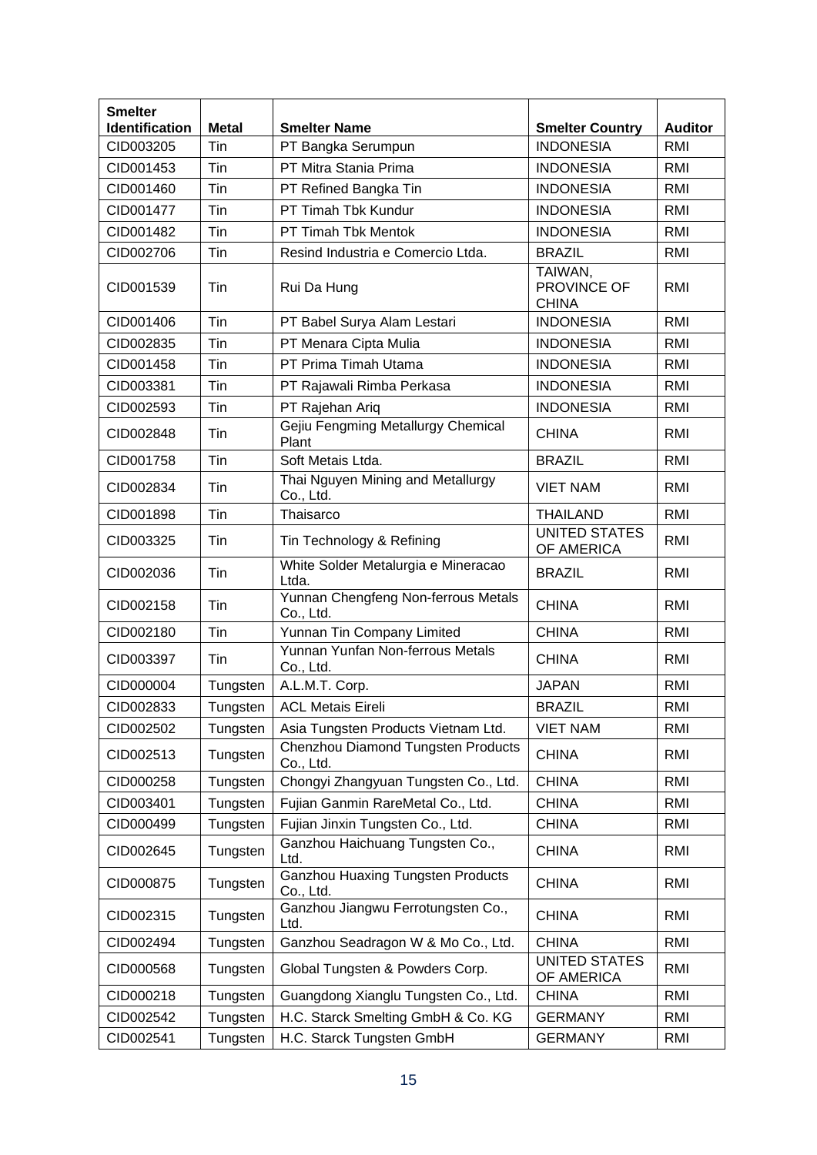| <b>Smelter</b>        |              |                                                                   |                                        |                |
|-----------------------|--------------|-------------------------------------------------------------------|----------------------------------------|----------------|
| <b>Identification</b> | <b>Metal</b> | <b>Smelter Name</b>                                               | <b>Smelter Country</b>                 | <b>Auditor</b> |
| CID003205             | Tin          | PT Bangka Serumpun                                                | <b>INDONESIA</b>                       | RMI            |
| CID001453             | Tin          | PT Mitra Stania Prima                                             | <b>INDONESIA</b>                       | RMI            |
| CID001460             | Tin          | PT Refined Bangka Tin                                             | <b>INDONESIA</b>                       | RMI            |
| CID001477             | Tin          | PT Timah Tbk Kundur                                               | <b>INDONESIA</b>                       | <b>RMI</b>     |
| CID001482             | Tin          | PT Timah Tbk Mentok                                               | <b>INDONESIA</b>                       | RMI            |
| CID002706             | Tin          | Resind Industria e Comercio Ltda.                                 | <b>BRAZIL</b>                          | RMI            |
| CID001539             | Tin          | Rui Da Hung                                                       | TAIWAN,<br>PROVINCE OF<br><b>CHINA</b> | RMI            |
| CID001406             | Tin          | PT Babel Surya Alam Lestari                                       | <b>INDONESIA</b>                       | RMI            |
| CID002835             | Tin          | PT Menara Cipta Mulia                                             | <b>INDONESIA</b>                       | RMI            |
| CID001458             | Tin          | PT Prima Timah Utama                                              | <b>INDONESIA</b>                       | RMI            |
| CID003381             | Tin          | PT Rajawali Rimba Perkasa                                         | <b>INDONESIA</b>                       | RMI            |
| CID002593             | Tin          | PT Rajehan Ariq                                                   | <b>INDONESIA</b>                       | RMI            |
| CID002848             | Tin          | Gejiu Fengming Metallurgy Chemical<br>Plant                       | <b>CHINA</b>                           | RMI            |
| CID001758             | Tin          | Soft Metais Ltda.                                                 | <b>BRAZIL</b>                          | RMI            |
| CID002834             | Tin          | Thai Nguyen Mining and Metallurgy<br><b>VIET NAM</b><br>Co., Ltd. |                                        | RMI            |
| CID001898             | Tin          | Thaisarco                                                         | <b>THAILAND</b>                        | <b>RMI</b>     |
| CID003325             | Tin          | Tin Technology & Refining                                         | <b>UNITED STATES</b><br>OF AMERICA     | RMI            |
| CID002036             | Tin          | White Solder Metalurgia e Mineracao<br>Ltda.                      | <b>BRAZIL</b>                          | RMI            |
| CID002158             | Tin          | Yunnan Chengfeng Non-ferrous Metals<br>Co., Ltd.                  | <b>CHINA</b>                           | RMI            |
| CID002180             | Tin          | Yunnan Tin Company Limited                                        | <b>CHINA</b>                           | <b>RMI</b>     |
| CID003397             | Tin          | Yunnan Yunfan Non-ferrous Metals<br>Co., Ltd.                     | <b>CHINA</b>                           | RMI            |
| CID000004             | Tungsten     | A.L.M.T. Corp.                                                    | <b>JAPAN</b>                           | RMI            |
| CID002833             | Tungsten     | <b>ACL Metais Eireli</b>                                          | <b>BRAZIL</b>                          | RMI            |
| CID002502             | Tungsten     | Asia Tungsten Products Vietnam Ltd.                               | <b>VIET NAM</b>                        | <b>RMI</b>     |
| CID002513             | Tungsten     | Chenzhou Diamond Tungsten Products<br>Co., Ltd.                   | <b>CHINA</b>                           | RMI            |
| CID000258             | Tungsten     | Chongyi Zhangyuan Tungsten Co., Ltd.                              | <b>CHINA</b>                           | <b>RMI</b>     |
| CID003401             | Tungsten     | Fujian Ganmin RareMetal Co., Ltd.                                 | <b>CHINA</b>                           | <b>RMI</b>     |
| CID000499             | Tungsten     | Fujian Jinxin Tungsten Co., Ltd.                                  | <b>CHINA</b>                           | <b>RMI</b>     |
| CID002645             | Tungsten     | Ganzhou Haichuang Tungsten Co.,<br>Ltd.                           | <b>CHINA</b>                           | RMI            |
| CID000875             | Tungsten     | <b>Ganzhou Huaxing Tungsten Products</b><br>Co., Ltd.             | <b>CHINA</b>                           | RMI            |
| CID002315             | Tungsten     | Ganzhou Jiangwu Ferrotungsten Co.,<br>Ltd.                        | <b>CHINA</b>                           | RMI            |
| CID002494             | Tungsten     | Ganzhou Seadragon W & Mo Co., Ltd.                                | <b>CHINA</b>                           | <b>RMI</b>     |
| CID000568             | Tungsten     | Global Tungsten & Powders Corp.                                   | <b>UNITED STATES</b><br>OF AMERICA     | RMI            |
| CID000218             | Tungsten     | Guangdong Xianglu Tungsten Co., Ltd.                              | <b>CHINA</b>                           | <b>RMI</b>     |
| CID002542             | Tungsten     | H.C. Starck Smelting GmbH & Co. KG                                | <b>GERMANY</b>                         | <b>RMI</b>     |
| CID002541             | Tungsten     | H.C. Starck Tungsten GmbH                                         | <b>GERMANY</b>                         | <b>RMI</b>     |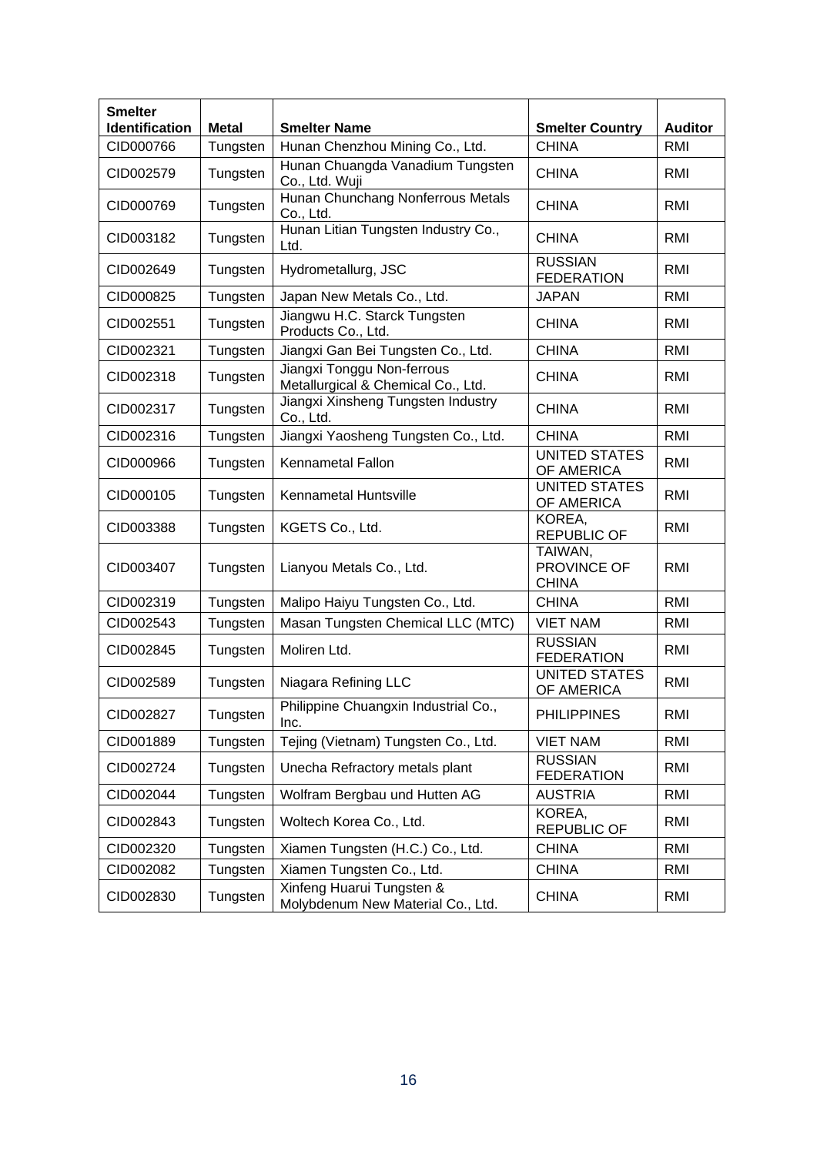| <b>Smelter</b><br>Identification | <b>Metal</b> | <b>Smelter Name</b>                                                | <b>Smelter Country</b>              | <b>Auditor</b> |
|----------------------------------|--------------|--------------------------------------------------------------------|-------------------------------------|----------------|
| CID000766                        | Tungsten     | Hunan Chenzhou Mining Co., Ltd.                                    | <b>CHINA</b>                        | <b>RMI</b>     |
| CID002579                        | Tungsten     | Hunan Chuangda Vanadium Tungsten<br>Co., Ltd. Wuji                 | <b>CHINA</b>                        | RMI            |
| CID000769                        | Tungsten     | Hunan Chunchang Nonferrous Metals<br>Co., Ltd.                     | <b>CHINA</b>                        | RMI            |
| CID003182                        | Tungsten     | Hunan Litian Tungsten Industry Co.,<br>Ltd.                        | <b>CHINA</b>                        | RMI            |
| CID002649                        | Tungsten     | Hydrometallurg, JSC                                                | <b>RUSSIAN</b><br><b>FEDERATION</b> | RMI            |
| CID000825                        | Tungsten     | Japan New Metals Co., Ltd.                                         | <b>JAPAN</b>                        | RMI            |
| CID002551                        | Tungsten     | Jiangwu H.C. Starck Tungsten<br>Products Co., Ltd.                 | <b>CHINA</b>                        | RMI            |
| CID002321                        | Tungsten     | Jiangxi Gan Bei Tungsten Co., Ltd.                                 | <b>CHINA</b>                        | RMI            |
| CID002318                        | Tungsten     | Jiangxi Tonggu Non-ferrous<br>Metallurgical & Chemical Co., Ltd.   | <b>CHINA</b>                        | <b>RMI</b>     |
| CID002317                        | Tungsten     | Jiangxi Xinsheng Tungsten Industry<br>Co., Ltd.                    | <b>CHINA</b>                        | RMI            |
| CID002316                        | Tungsten     | Jiangxi Yaosheng Tungsten Co., Ltd.                                | <b>CHINA</b>                        | RMI            |
| CID000966                        | Tungsten     | <b>Kennametal Fallon</b>                                           | <b>UNITED STATES</b><br>OF AMERICA  | RMI            |
| CID000105                        | Tungsten     | Kennametal Huntsville                                              | <b>UNITED STATES</b><br>OF AMERICA  | <b>RMI</b>     |
| CID003388                        | Tungsten     | KOREA,<br>KGETS Co., Ltd.<br><b>REPUBLIC OF</b>                    |                                     | RMI            |
| CID003407                        | Tungsten     | TAIWAN,<br>PROVINCE OF<br>Lianyou Metals Co., Ltd.<br><b>CHINA</b> |                                     | RMI            |
| CID002319                        | Tungsten     | Malipo Haiyu Tungsten Co., Ltd.                                    | <b>CHINA</b>                        | RMI            |
| CID002543                        | Tungsten     | Masan Tungsten Chemical LLC (MTC)                                  | <b>VIET NAM</b>                     | RMI            |
| CID002845                        | Tungsten     | Moliren Ltd.                                                       | <b>RUSSIAN</b><br><b>FEDERATION</b> | <b>RMI</b>     |
| CID002589                        | Tungsten     | Niagara Refining LLC                                               | <b>UNITED STATES</b><br>OF AMERICA  | RMI            |
| CID002827                        | Tungsten     | Philippine Chuangxin Industrial Co.,<br>Inc.                       | <b>PHILIPPINES</b>                  | <b>RMI</b>     |
| CID001889                        | Tungsten     | Tejing (Vietnam) Tungsten Co., Ltd.                                | <b>VIET NAM</b>                     | RMI            |
| CID002724                        | Tungsten     | Unecha Refractory metals plant                                     | <b>RUSSIAN</b><br><b>FEDERATION</b> | RMI            |
| CID002044                        | Tungsten     | Wolfram Bergbau und Hutten AG                                      | <b>AUSTRIA</b>                      | RMI            |
| CID002843                        | Tungsten     | Woltech Korea Co., Ltd.                                            | KOREA,<br><b>REPUBLIC OF</b>        | RMI            |
| CID002320                        | Tungsten     | Xiamen Tungsten (H.C.) Co., Ltd.                                   | <b>CHINA</b>                        | RMI            |
| CID002082                        | Tungsten     | Xiamen Tungsten Co., Ltd.                                          | <b>CHINA</b>                        | RMI            |
| CID002830                        | Tungsten     | Xinfeng Huarui Tungsten &<br>Molybdenum New Material Co., Ltd.     | <b>CHINA</b>                        | <b>RMI</b>     |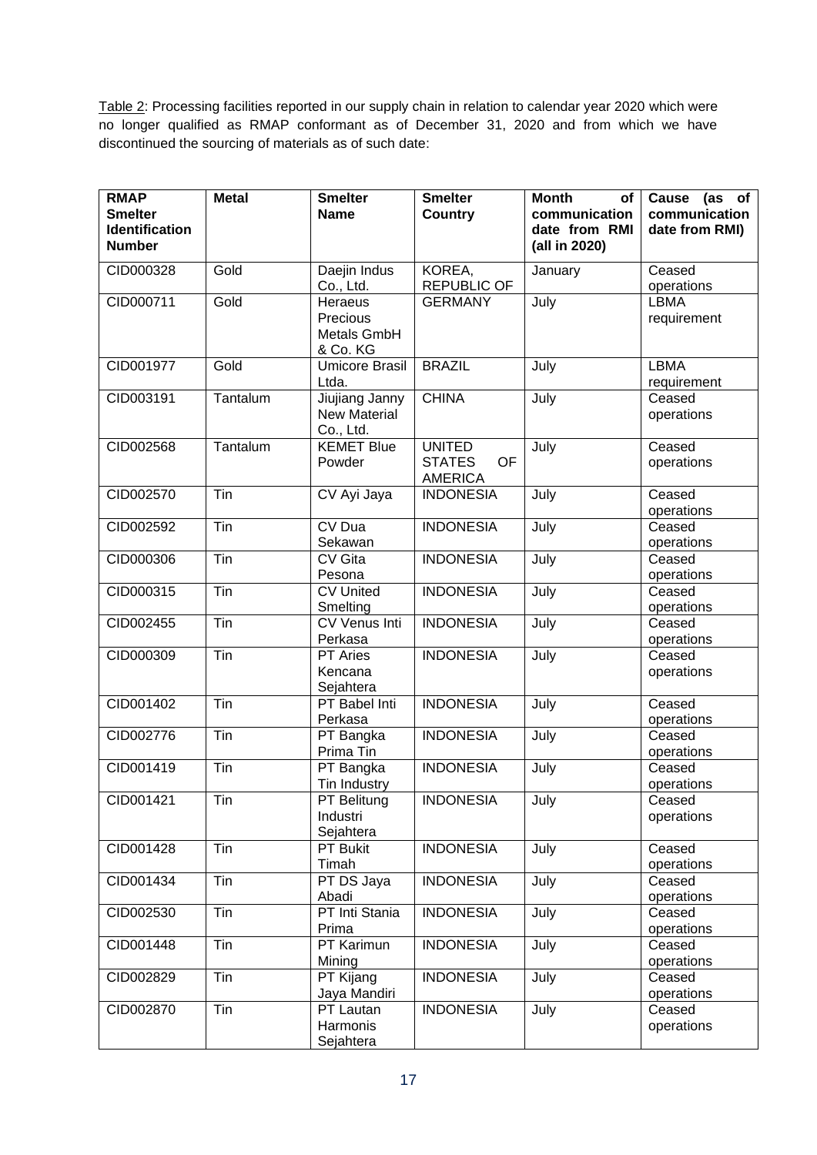Table 2: Processing facilities reported in our supply chain in relation to calendar year 2020 which were no longer qualified as RMAP conformant as of December 31, 2020 and from which we have discontinued the sourcing of materials as of such date:

| <b>RMAP</b><br><b>Smelter</b><br><b>Identification</b><br><b>Number</b> | <b>Metal</b> | <b>Smelter</b><br><b>Name</b>                      | <b>Smelter</b><br><b>Country</b>                              | <b>Month</b><br>of<br>communication<br>date from RMI<br>(all in 2020) | Cause (as of<br>communication<br>date from RMI) |
|-------------------------------------------------------------------------|--------------|----------------------------------------------------|---------------------------------------------------------------|-----------------------------------------------------------------------|-------------------------------------------------|
| CID000328                                                               | Gold         | Daejin Indus<br>Co., Ltd.                          | KOREA,<br><b>REPUBLIC OF</b>                                  | January                                                               | Ceased<br>operations                            |
| CID000711                                                               | Gold         | Heraeus<br>Precious<br>Metals GmbH<br>& Co. KG     | <b>GERMANY</b>                                                | July                                                                  | <b>LBMA</b><br>requirement                      |
| CID001977                                                               | Gold         | <b>Umicore Brasil</b><br>Ltda.                     | <b>BRAZIL</b>                                                 | July                                                                  | LBMA<br>requirement                             |
| CID003191                                                               | Tantalum     | Jiujiang Janny<br><b>New Material</b><br>Co., Ltd. | <b>CHINA</b>                                                  | July                                                                  | Ceased<br>operations                            |
| CID002568                                                               | Tantalum     | <b>KEMET Blue</b><br>Powder                        | <b>UNITED</b><br><b>OF</b><br><b>STATES</b><br><b>AMERICA</b> | July                                                                  | Ceased<br>operations                            |
| CID002570                                                               | Tin          | CV Ayi Jaya                                        | <b>INDONESIA</b>                                              | July                                                                  | Ceased<br>operations                            |
| CID002592                                                               | Tin          | CV Dua<br>Sekawan                                  | <b>INDONESIA</b>                                              | July                                                                  | Ceased<br>operations                            |
| CID000306                                                               | Tin          | <b>CV Gita</b><br>Pesona                           | <b>INDONESIA</b>                                              | July                                                                  | Ceased<br>operations                            |
| CID000315                                                               | Tin          | <b>CV United</b><br>Smelting                       | <b>INDONESIA</b>                                              | July                                                                  | Ceased<br>operations                            |
| CID002455                                                               | Tin          | CV Venus Inti<br>Perkasa                           | <b>INDONESIA</b>                                              | July                                                                  | Ceased<br>operations                            |
| CID000309                                                               | Tin          | <b>PT</b> Aries<br>Kencana<br>Sejahtera            | <b>INDONESIA</b>                                              | July                                                                  | Ceased<br>operations                            |
| CID001402                                                               | Tin          | PT Babel Inti<br>Perkasa                           | <b>INDONESIA</b>                                              | July                                                                  | Ceased<br>operations                            |
| CID002776                                                               | Tin          | PT Bangka<br>Prima Tin                             | <b>INDONESIA</b>                                              | July                                                                  | Ceased<br>operations                            |
| CID001419                                                               | Tin          | PT Bangka<br>Tin Industry                          | <b>INDONESIA</b>                                              | July                                                                  | Ceased<br>operations                            |
| CID001421                                                               | Tin          | PT Belitung<br>Industri<br>Sejahtera               | <b>INDONESIA</b>                                              | $\overline{J}$ uly                                                    | Ceased<br>operations                            |
| CID001428                                                               | Tin          | PT Bukit<br>Timah                                  | <b>INDONESIA</b>                                              | July                                                                  | Ceased<br>operations                            |
| CID001434                                                               | Tin          | PT DS Jaya<br>Abadi                                | <b>INDONESIA</b>                                              | July                                                                  | Ceased<br>operations                            |
| CID002530                                                               | Tin          | PT Inti Stania<br>Prima                            | <b>INDONESIA</b>                                              | July                                                                  | Ceased<br>operations                            |
| CID001448                                                               | Tin          | <b>PT Karimun</b><br>Mining                        | <b>INDONESIA</b>                                              | July                                                                  | Ceased<br>operations                            |
| CID002829                                                               | Tin          | PT Kijang<br>Jaya Mandiri                          | <b>INDONESIA</b>                                              | July                                                                  | Ceased<br>operations                            |
| CID002870                                                               | Tin          | PT Lautan<br>Harmonis<br>Sejahtera                 | <b>INDONESIA</b>                                              | July                                                                  | Ceased<br>operations                            |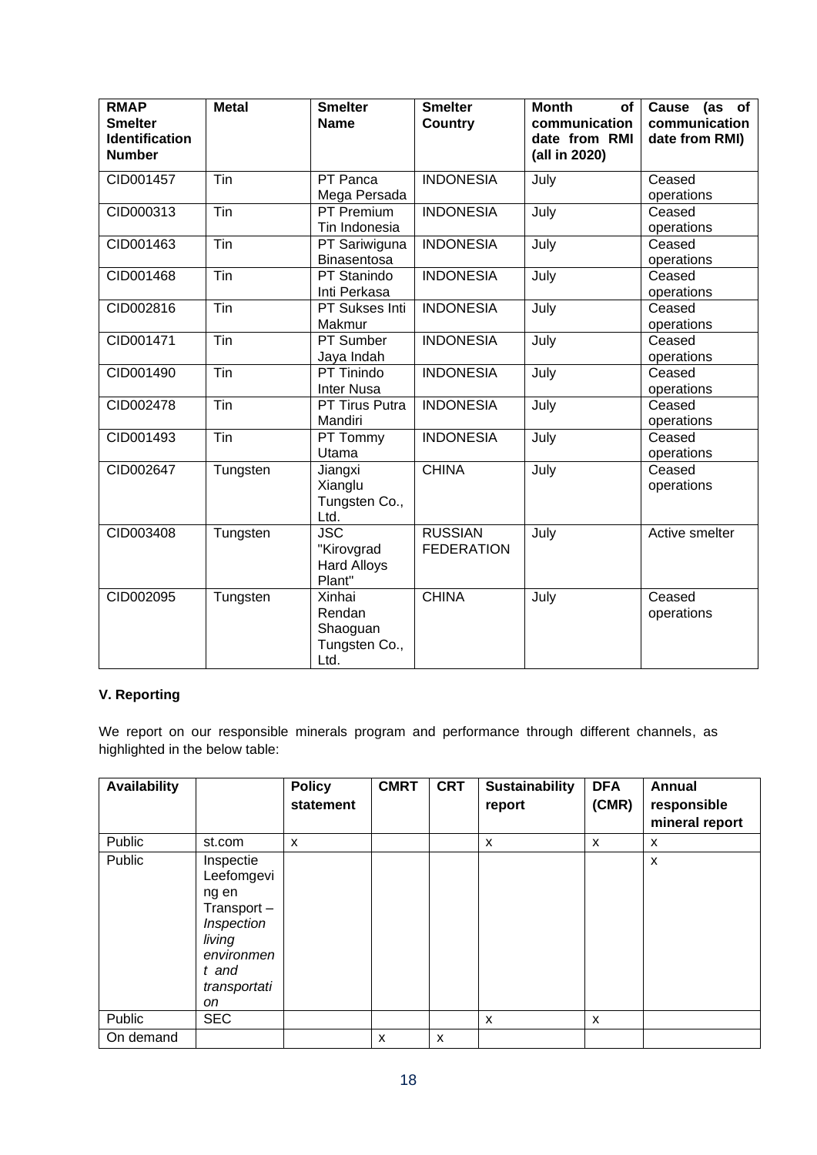| <b>RMAP</b><br><b>Smelter</b><br><b>Identification</b><br><b>Number</b> | <b>Metal</b>      | <b>Smelter</b><br><b>Name</b>                            | <b>Smelter</b><br><b>Country</b>    | <b>Month</b><br>of<br>communication<br>date from RMI<br>(all in 2020) | Cause<br>(as of<br>communication<br>date from RMI) |
|-------------------------------------------------------------------------|-------------------|----------------------------------------------------------|-------------------------------------|-----------------------------------------------------------------------|----------------------------------------------------|
| CID001457                                                               | $\overline{T}$ in | PT Panca<br>Mega Persada                                 | <b>INDONESIA</b>                    | July                                                                  | Ceased<br>operations                               |
| CID000313                                                               | Tin               | PT Premium<br>Tin Indonesia                              | <b>INDONESIA</b>                    | July                                                                  | Ceased<br>operations                               |
| CID001463                                                               | Tin               | PT Sariwiguna<br><b>Binasentosa</b>                      | <b>INDONESIA</b>                    | July                                                                  | Ceased<br>operations                               |
| CID001468                                                               | $\overline{T}$ in | PT Stanindo<br>Inti Perkasa                              | <b>INDONESIA</b>                    | July                                                                  | Ceased<br>operations                               |
| CID002816                                                               | $\overline{T}$ in | PT Sukses Inti<br>Makmur                                 | <b>INDONESIA</b>                    | July                                                                  | Ceased<br>operations                               |
| CID001471                                                               | $\overline{T}$ in | PT Sumber<br>Jaya Indah                                  | <b>INDONESIA</b>                    | July                                                                  | Ceased<br>operations                               |
| CID001490                                                               | $\overline{T}$ in | PT Tinindo<br><b>Inter Nusa</b>                          | <b>INDONESIA</b>                    | July                                                                  | Ceased<br>operations                               |
| CID002478                                                               | $\overline{T}$ in | PT Tirus Putra<br>Mandiri                                | <b>INDONESIA</b>                    | July                                                                  | Ceased<br>operations                               |
| CID001493                                                               | Tin               | PT Tommy<br>Utama                                        | <b>INDONESIA</b>                    | July                                                                  | Ceased<br>operations                               |
| CID002647                                                               | Tungsten          | Jiangxi<br>Xianglu<br>Tungsten Co.,<br>Ltd.              | <b>CHINA</b>                        | July                                                                  | Ceased<br>operations                               |
| CID003408                                                               | Tungsten          | <b>JSC</b><br>"Kirovgrad<br><b>Hard Alloys</b><br>Plant" | <b>RUSSIAN</b><br><b>FEDERATION</b> | July                                                                  | Active smelter                                     |
| CID002095                                                               | Tungsten          | Xinhai<br>Rendan<br>Shaoguan<br>Tungsten Co.,<br>Ltd.    | <b>CHINA</b>                        | July                                                                  | Ceased<br>operations                               |

# **V. Reporting**

We report on our responsible minerals program and performance through different channels, as highlighted in the below table:

| <b>Availability</b> |                                                                                                                     | <b>Policy</b><br>statement | <b>CMRT</b> | <b>CRT</b>                | <b>Sustainability</b><br>report | <b>DFA</b><br>(CMR) | <b>Annual</b><br>responsible<br>mineral report |
|---------------------|---------------------------------------------------------------------------------------------------------------------|----------------------------|-------------|---------------------------|---------------------------------|---------------------|------------------------------------------------|
| Public              | st.com                                                                                                              | X                          |             |                           | X                               | X                   | X                                              |
| Public              | Inspectie<br>Leefomgevi<br>ng en<br>Transport-<br>Inspection<br>living<br>environmen<br>t and<br>transportati<br>on |                            |             |                           |                                 |                     | X                                              |
| Public              | <b>SEC</b>                                                                                                          |                            |             |                           | X                               | X                   |                                                |
| On demand           |                                                                                                                     |                            | X           | $\boldsymbol{\mathsf{x}}$ |                                 |                     |                                                |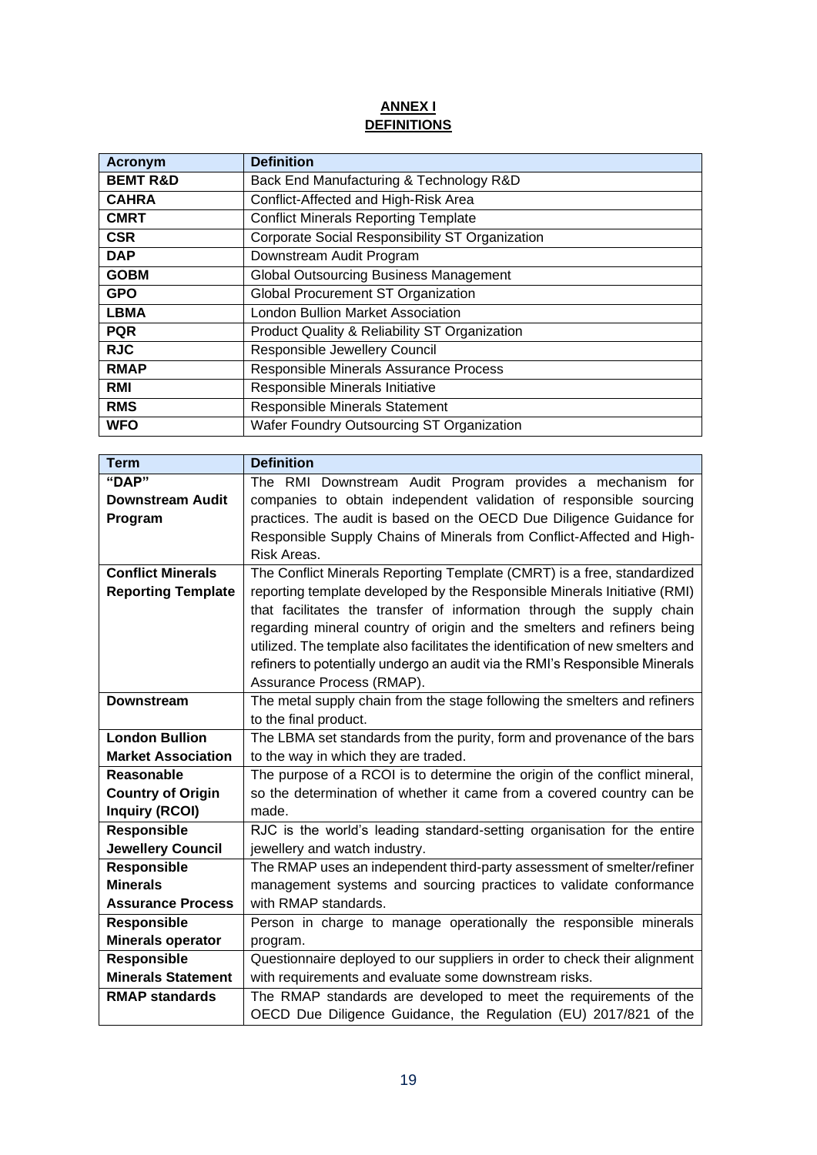# **ANNEX I DEFINITIONS**

| Acronym             | <b>Definition</b>                               |
|---------------------|-------------------------------------------------|
| <b>BEMT R&amp;D</b> | Back End Manufacturing & Technology R&D         |
| <b>CAHRA</b>        | Conflict-Affected and High-Risk Area            |
| <b>CMRT</b>         | <b>Conflict Minerals Reporting Template</b>     |
| <b>CSR</b>          | Corporate Social Responsibility ST Organization |
| <b>DAP</b>          | Downstream Audit Program                        |
| <b>GOBM</b>         | <b>Global Outsourcing Business Management</b>   |
| <b>GPO</b>          | <b>Global Procurement ST Organization</b>       |
| <b>LBMA</b>         | <b>London Bullion Market Association</b>        |
| <b>PQR</b>          | Product Quality & Reliability ST Organization   |
| <b>RJC</b>          | Responsible Jewellery Council                   |
| <b>RMAP</b>         | Responsible Minerals Assurance Process          |
| <b>RMI</b>          | Responsible Minerals Initiative                 |
| <b>RMS</b>          | <b>Responsible Minerals Statement</b>           |
| <b>WFO</b>          | Wafer Foundry Outsourcing ST Organization       |

| <b>Term</b>               | <b>Definition</b>                                                              |
|---------------------------|--------------------------------------------------------------------------------|
| "DAP"                     | The RMI Downstream Audit Program provides a mechanism for                      |
| <b>Downstream Audit</b>   | companies to obtain independent validation of responsible sourcing             |
| Program                   | practices. The audit is based on the OECD Due Diligence Guidance for           |
|                           | Responsible Supply Chains of Minerals from Conflict-Affected and High-         |
|                           | Risk Areas.                                                                    |
| <b>Conflict Minerals</b>  | The Conflict Minerals Reporting Template (CMRT) is a free, standardized        |
| <b>Reporting Template</b> | reporting template developed by the Responsible Minerals Initiative (RMI)      |
|                           | that facilitates the transfer of information through the supply chain          |
|                           | regarding mineral country of origin and the smelters and refiners being        |
|                           | utilized. The template also facilitates the identification of new smelters and |
|                           | refiners to potentially undergo an audit via the RMI's Responsible Minerals    |
|                           | Assurance Process (RMAP).                                                      |
| <b>Downstream</b>         | The metal supply chain from the stage following the smelters and refiners      |
|                           | to the final product.                                                          |
| <b>London Bullion</b>     | The LBMA set standards from the purity, form and provenance of the bars        |
| <b>Market Association</b> | to the way in which they are traded.                                           |
| Reasonable                | The purpose of a RCOI is to determine the origin of the conflict mineral,      |
| <b>Country of Origin</b>  | so the determination of whether it came from a covered country can be          |
| <b>Inquiry (RCOI)</b>     | made.                                                                          |
| <b>Responsible</b>        | RJC is the world's leading standard-setting organisation for the entire        |
| <b>Jewellery Council</b>  | jewellery and watch industry.                                                  |
| <b>Responsible</b>        | The RMAP uses an independent third-party assessment of smelter/refiner         |
| <b>Minerals</b>           | management systems and sourcing practices to validate conformance              |
| <b>Assurance Process</b>  | with RMAP standards.                                                           |
| <b>Responsible</b>        | Person in charge to manage operationally the responsible minerals              |
| Minerals operator         | program.                                                                       |
| <b>Responsible</b>        | Questionnaire deployed to our suppliers in order to check their alignment      |
| <b>Minerals Statement</b> | with requirements and evaluate some downstream risks.                          |
| <b>RMAP standards</b>     | The RMAP standards are developed to meet the requirements of the               |
|                           | OECD Due Diligence Guidance, the Regulation (EU) 2017/821 of the               |